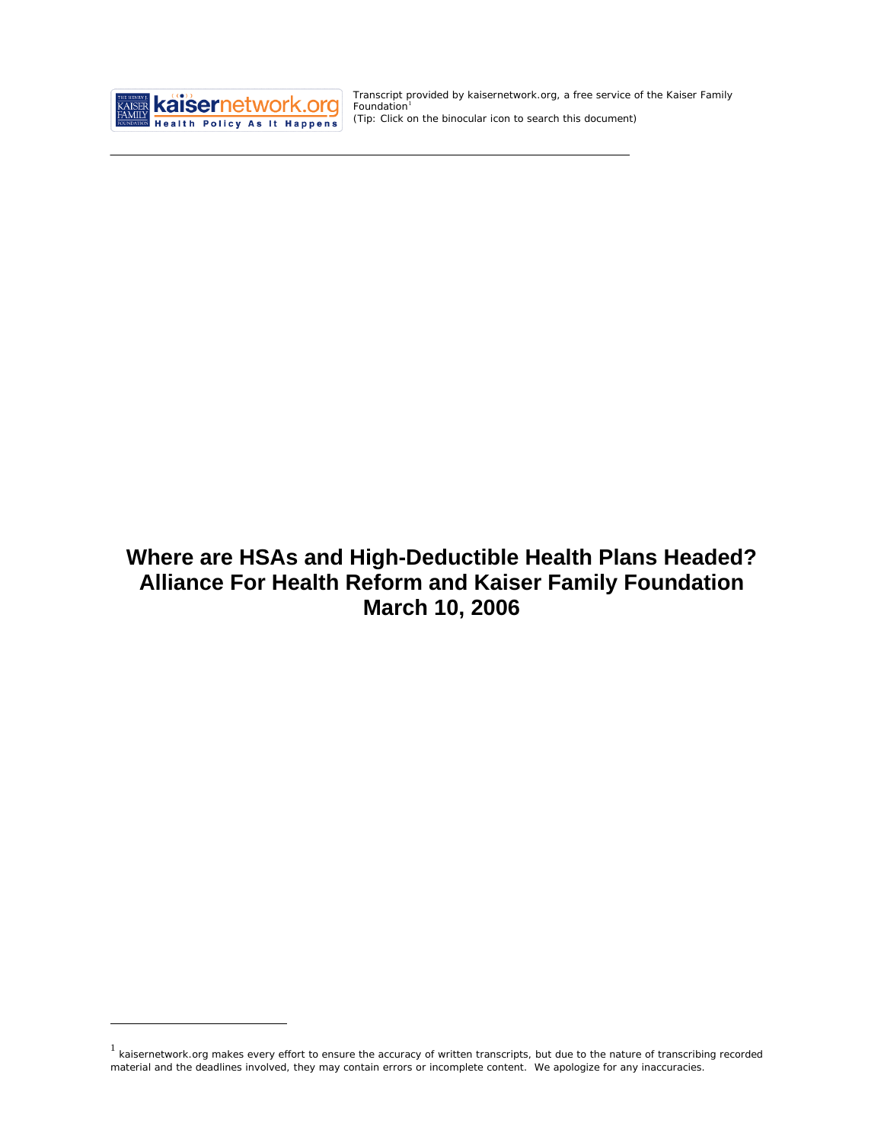

<u>.</u>

Transcript provided by kaisernetwork.org, a free service of the Kaiser Family  $F$ oundation<sup>[1](#page-0-0)</sup> *(Tip: Click on the binocular icon to search this document)* 

# **Where are HSAs and High-Deductible Health Plans Headed? Alliance For Health Reform and Kaiser Family Foundation March 10, 2006**

<span id="page-0-0"></span><sup>1</sup> kaisernetwork.org makes every effort to ensure the accuracy of written transcripts, but due to the nature of transcribing recorded material and the deadlines involved, they may contain errors or incomplete content. We apologize for any inaccuracies.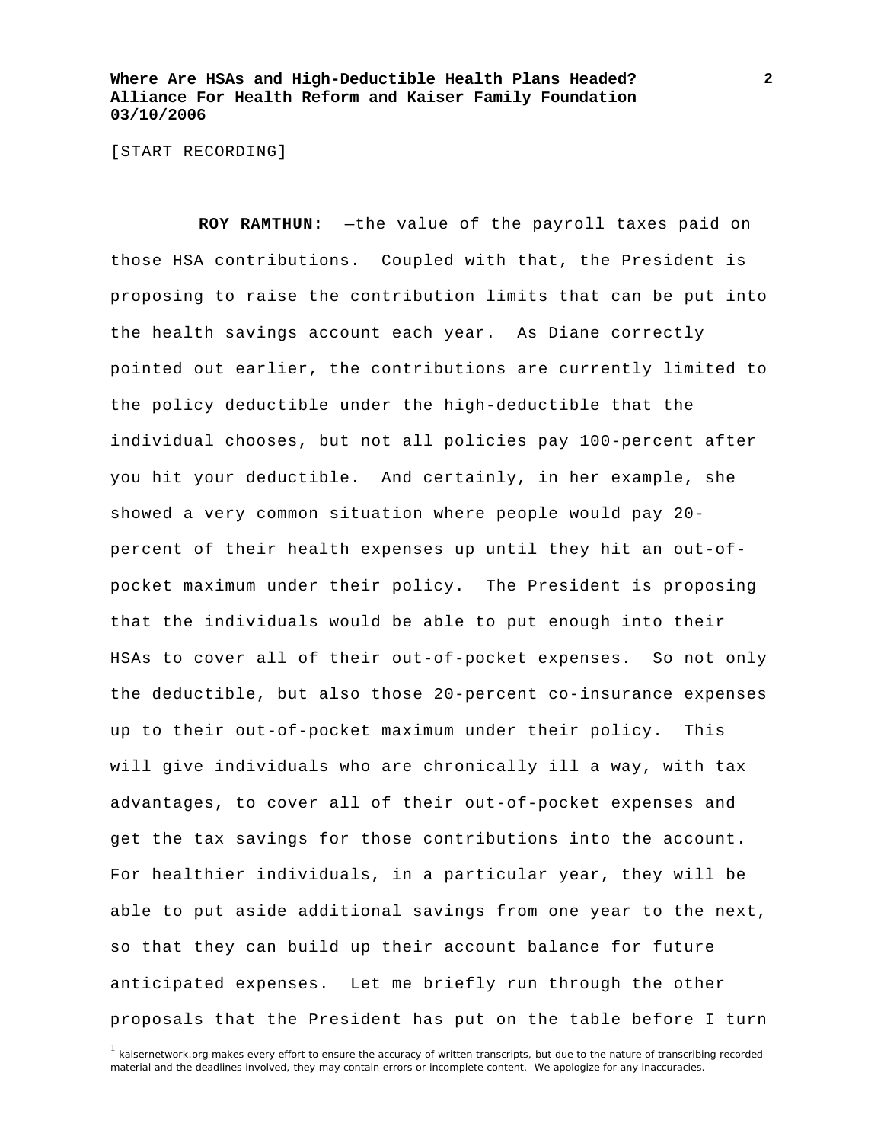[START RECORDING]

**ROY RAMTHUN:** —the value of the payroll taxes paid on those HSA contributions. Coupled with that, the President is proposing to raise the contribution limits that can be put into the health savings account each year. As Diane correctly pointed out earlier, the contributions are currently limited to the policy deductible under the high-deductible that the individual chooses, but not all policies pay 100-percent after you hit your deductible. And certainly, in her example, she showed a very common situation where people would pay 20 percent of their health expenses up until they hit an out-ofpocket maximum under their policy. The President is proposing that the individuals would be able to put enough into their HSAs to cover all of their out-of-pocket expenses. So not only the deductible, but also those 20-percent co-insurance expenses up to their out-of-pocket maximum under their policy. This will give individuals who are chronically ill a way, with tax advantages, to cover all of their out-of-pocket expenses and get the tax savings for those contributions into the account. For healthier individuals, in a particular year, they will be able to put aside additional savings from one year to the next, so that they can build up their account balance for future anticipated expenses. Let me briefly run through the other proposals that the President has put on the table before I turn

<sup>1</sup> kaisernetwork.org makes every effort to ensure the accuracy of written transcripts, but due to the nature of transcribing recorded material and the deadlines involved, they may contain errors or incomplete content. We apologize for any inaccuracies.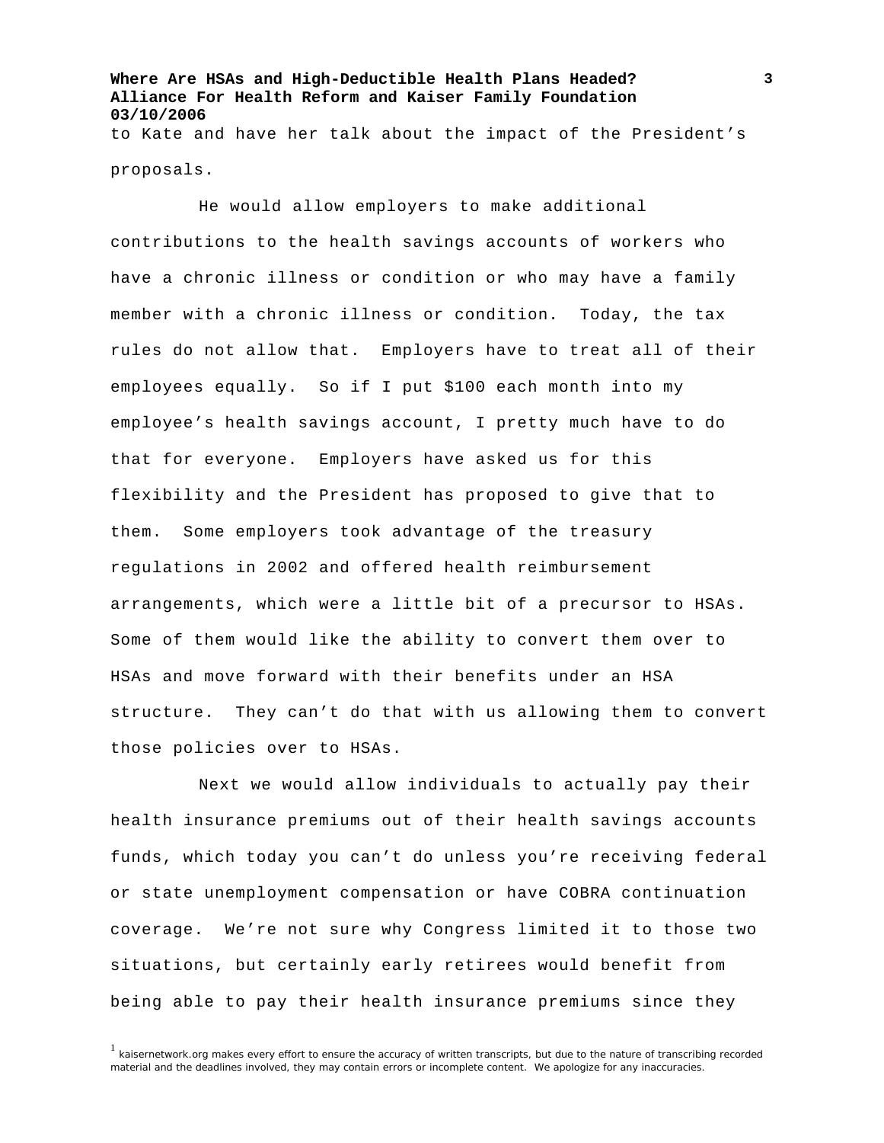**Where Are HSAs and High-Deductible Health Plans Headed? Alliance For Health Reform and Kaiser Family Foundation 03/10/2006**  to Kate and have her talk about the impact of the President's

proposals.

He would allow employers to make additional contributions to the health savings accounts of workers who have a chronic illness or condition or who may have a family member with a chronic illness or condition. Today, the tax rules do not allow that. Employers have to treat all of their employees equally. So if I put \$100 each month into my employee's health savings account, I pretty much have to do that for everyone. Employers have asked us for this flexibility and the President has proposed to give that to them. Some employers took advantage of the treasury regulations in 2002 and offered health reimbursement arrangements, which were a little bit of a precursor to HSAs. Some of them would like the ability to convert them over to HSAs and move forward with their benefits under an HSA structure. They can't do that with us allowing them to convert those policies over to HSAs.

Next we would allow individuals to actually pay their health insurance premiums out of their health savings accounts funds, which today you can't do unless you're receiving federal or state unemployment compensation or have COBRA continuation coverage. We're not sure why Congress limited it to those two situations, but certainly early retirees would benefit from being able to pay their health insurance premiums since they

<sup>&</sup>lt;sup>1</sup> kaisernetwork.org makes every effort to ensure the accuracy of written transcripts, but due to the nature of transcribing recorded material and the deadlines involved, they may contain errors or incomplete content. We apologize for any inaccuracies.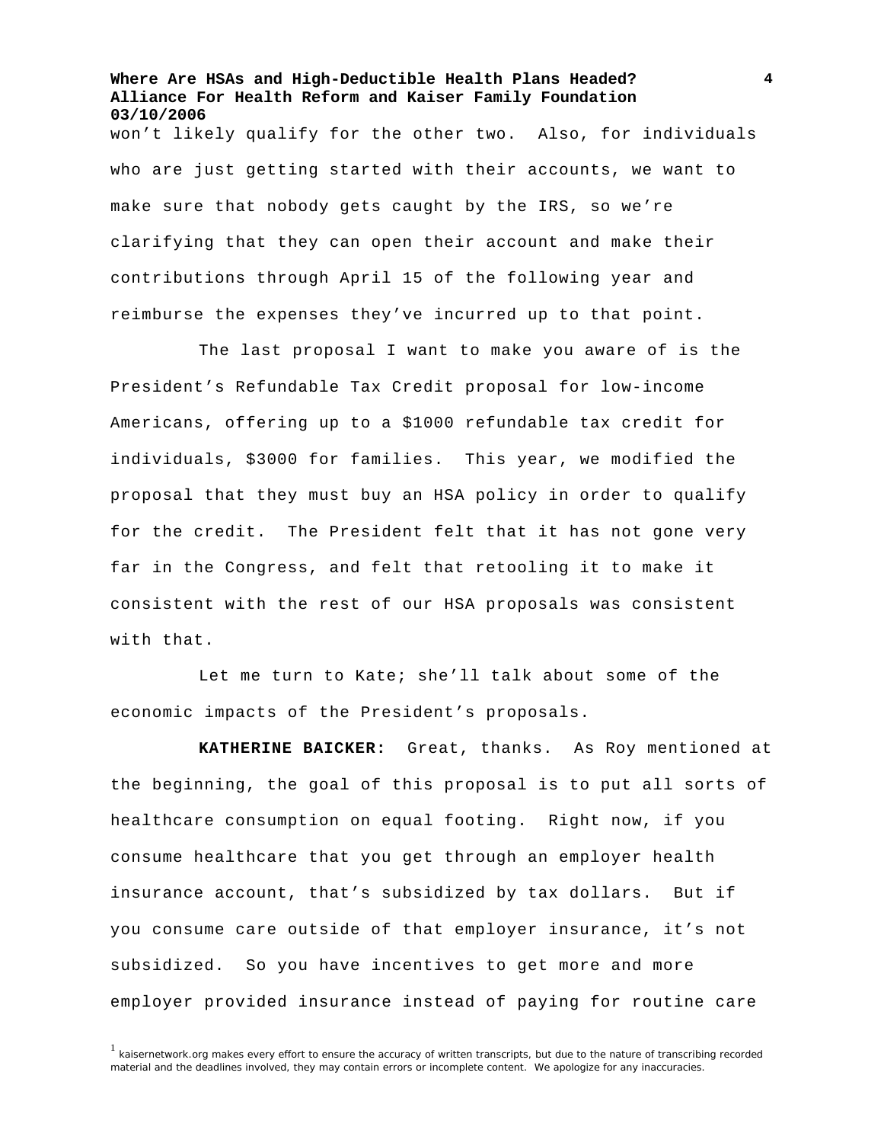won't likely qualify for the other two. Also, for individuals who are just getting started with their accounts, we want to make sure that nobody gets caught by the IRS, so we're clarifying that they can open their account and make their contributions through April 15 of the following year and reimburse the expenses they've incurred up to that point.

The last proposal I want to make you aware of is the President's Refundable Tax Credit proposal for low-income Americans, offering up to a \$1000 refundable tax credit for individuals, \$3000 for families. This year, we modified the proposal that they must buy an HSA policy in order to qualify for the credit. The President felt that it has not gone very far in the Congress, and felt that retooling it to make it consistent with the rest of our HSA proposals was consistent with that.

Let me turn to Kate; she'll talk about some of the economic impacts of the President's proposals.

**KATHERINE BAICKER:** Great, thanks. As Roy mentioned at the beginning, the goal of this proposal is to put all sorts of healthcare consumption on equal footing. Right now, if you consume healthcare that you get through an employer health insurance account, that's subsidized by tax dollars. But if you consume care outside of that employer insurance, it's not subsidized. So you have incentives to get more and more employer provided insurance instead of paying for routine care

 $1$  kaisernetwork.org makes every effort to ensure the accuracy of written transcripts, but due to the nature of transcribing recorded material and the deadlines involved, they may contain errors or incomplete content. We apologize for any inaccuracies.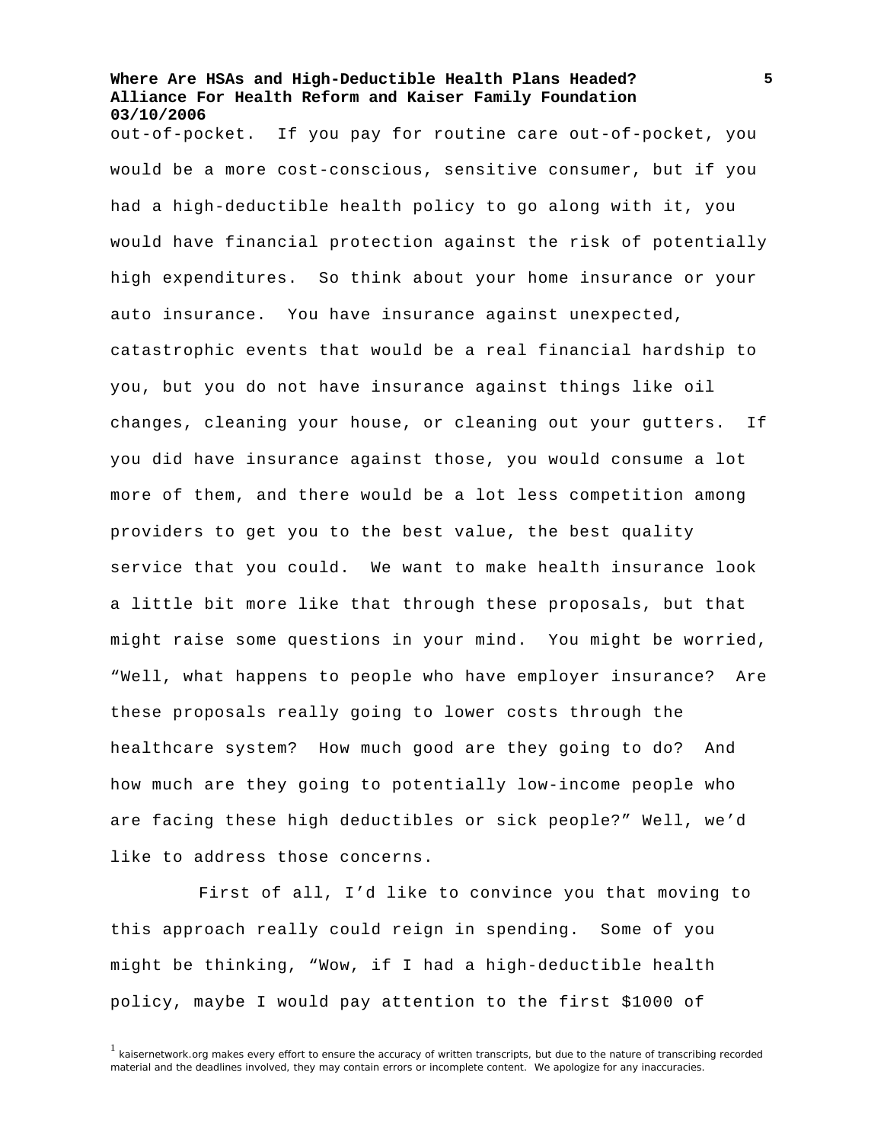out-of-pocket. If you pay for routine care out-of-pocket, you would be a more cost-conscious, sensitive consumer, but if you had a high-deductible health policy to go along with it, you would have financial protection against the risk of potentially high expenditures. So think about your home insurance or your auto insurance. You have insurance against unexpected, catastrophic events that would be a real financial hardship to you, but you do not have insurance against things like oil changes, cleaning your house, or cleaning out your gutters. If you did have insurance against those, you would consume a lot more of them, and there would be a lot less competition among providers to get you to the best value, the best quality service that you could. We want to make health insurance look a little bit more like that through these proposals, but that might raise some questions in your mind. You might be worried, "Well, what happens to people who have employer insurance? Are these proposals really going to lower costs through the healthcare system? How much good are they going to do? And how much are they going to potentially low-income people who are facing these high deductibles or sick people?" Well, we'd like to address those concerns.

First of all, I'd like to convince you that moving to this approach really could reign in spending. Some of you might be thinking, "Wow, if I had a high-deductible health policy, maybe I would pay attention to the first \$1000 of

<sup>&</sup>lt;sup>1</sup> kaisernetwork.org makes every effort to ensure the accuracy of written transcripts, but due to the nature of transcribing recorded material and the deadlines involved, they may contain errors or incomplete content. We apologize for any inaccuracies.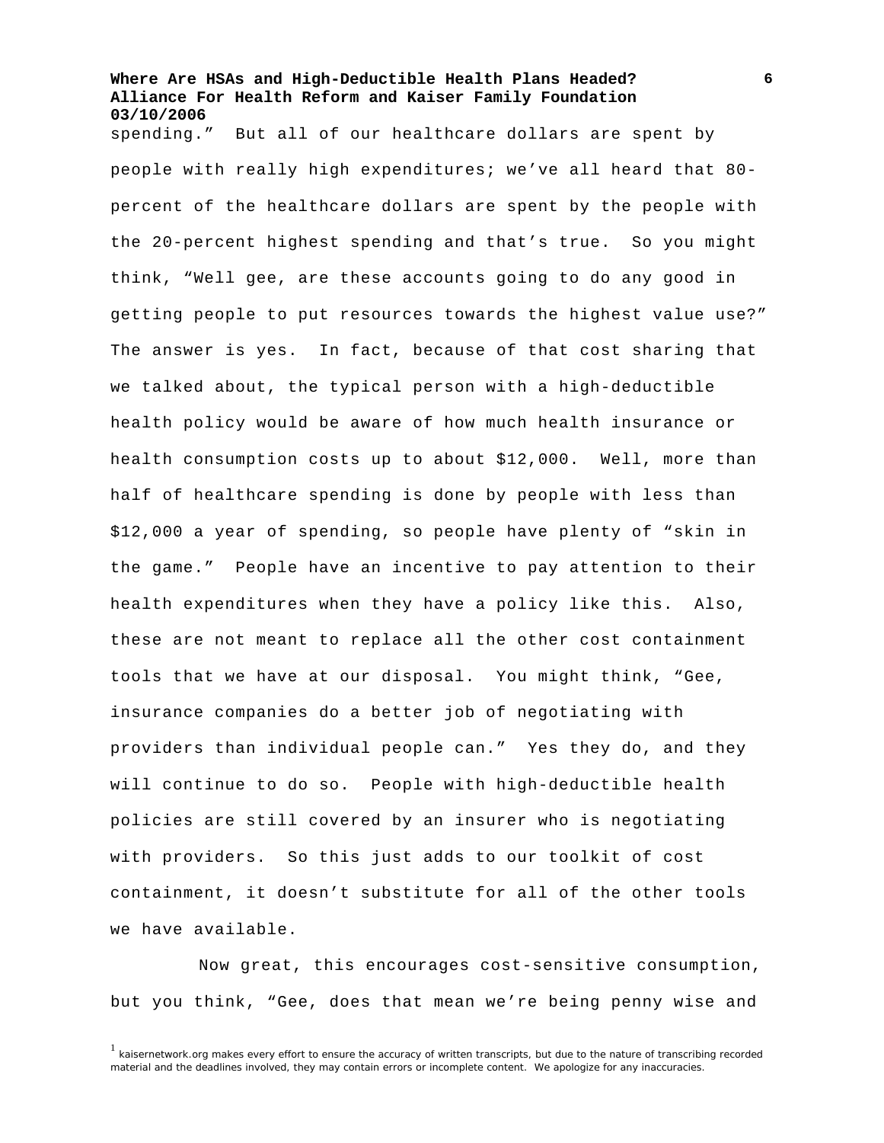spending." But all of our healthcare dollars are spent by people with really high expenditures; we've all heard that 80 percent of the healthcare dollars are spent by the people with the 20-percent highest spending and that's true. So you might think, "Well gee, are these accounts going to do any good in getting people to put resources towards the highest value use?" The answer is yes. In fact, because of that cost sharing that we talked about, the typical person with a high-deductible health policy would be aware of how much health insurance or health consumption costs up to about \$12,000. Well, more than half of healthcare spending is done by people with less than \$12,000 a year of spending, so people have plenty of "skin in the game." People have an incentive to pay attention to their health expenditures when they have a policy like this. Also, these are not meant to replace all the other cost containment tools that we have at our disposal. You might think, "Gee, insurance companies do a better job of negotiating with providers than individual people can." Yes they do, and they will continue to do so. People with high-deductible health policies are still covered by an insurer who is negotiating with providers. So this just adds to our toolkit of cost containment, it doesn't substitute for all of the other tools we have available.

Now great, this encourages cost-sensitive consumption, but you think, "Gee, does that mean we're being penny wise and

 $1$  kaisernetwork.org makes every effort to ensure the accuracy of written transcripts, but due to the nature of transcribing recorded material and the deadlines involved, they may contain errors or incomplete content. We apologize for any inaccuracies.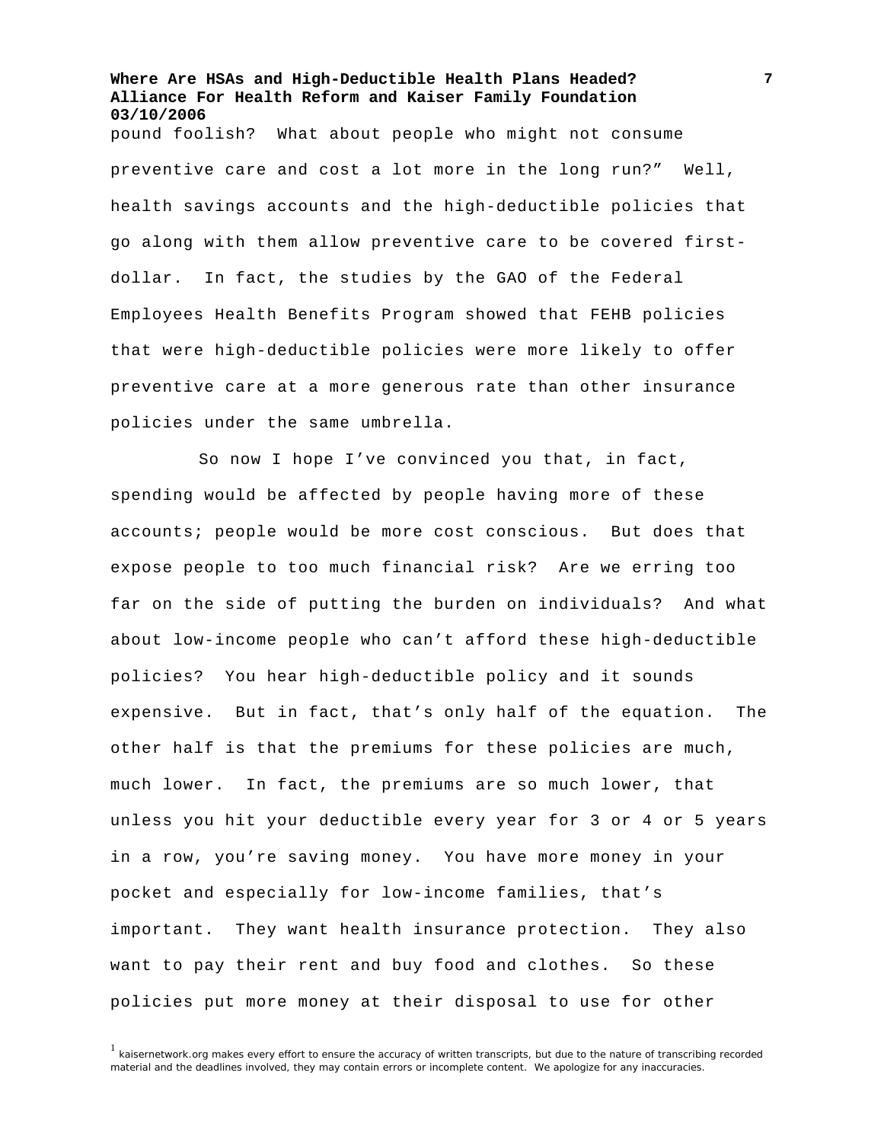**Where Are HSAs and High-Deductible Health Plans Headed? Alliance For Health Reform and Kaiser Family Foundation 03/10/2006**  pound foolish? What about people who might not consume preventive care and cost a lot more in the long run?" Well, health savings accounts and the high-deductible policies that go along with them allow preventive care to be covered firstdollar. In fact, the studies by the GAO of the Federal Employees Health Benefits Program showed that FEHB policies that were high-deductible policies were more likely to offer preventive care at a more generous rate than other insurance policies under the same umbrella.

So now I hope I've convinced you that, in fact, spending would be affected by people having more of these accounts; people would be more cost conscious. But does that expose people to too much financial risk? Are we erring too far on the side of putting the burden on individuals? And what about low-income people who can't afford these high-deductible policies? You hear high-deductible policy and it sounds expensive. But in fact, that's only half of the equation. The other half is that the premiums for these policies are much, much lower. In fact, the premiums are so much lower, that unless you hit your deductible every year for 3 or 4 or 5 years in a row, you're saving money. You have more money in your pocket and especially for low-income families, that's important. They want health insurance protection. They also want to pay their rent and buy food and clothes. So these policies put more money at their disposal to use for other

<sup>1</sup> kaisernetwork.org makes every effort to ensure the accuracy of written transcripts, but due to the nature of transcribing recorded material and the deadlines involved, they may contain errors or incomplete content. We apologize for any inaccuracies.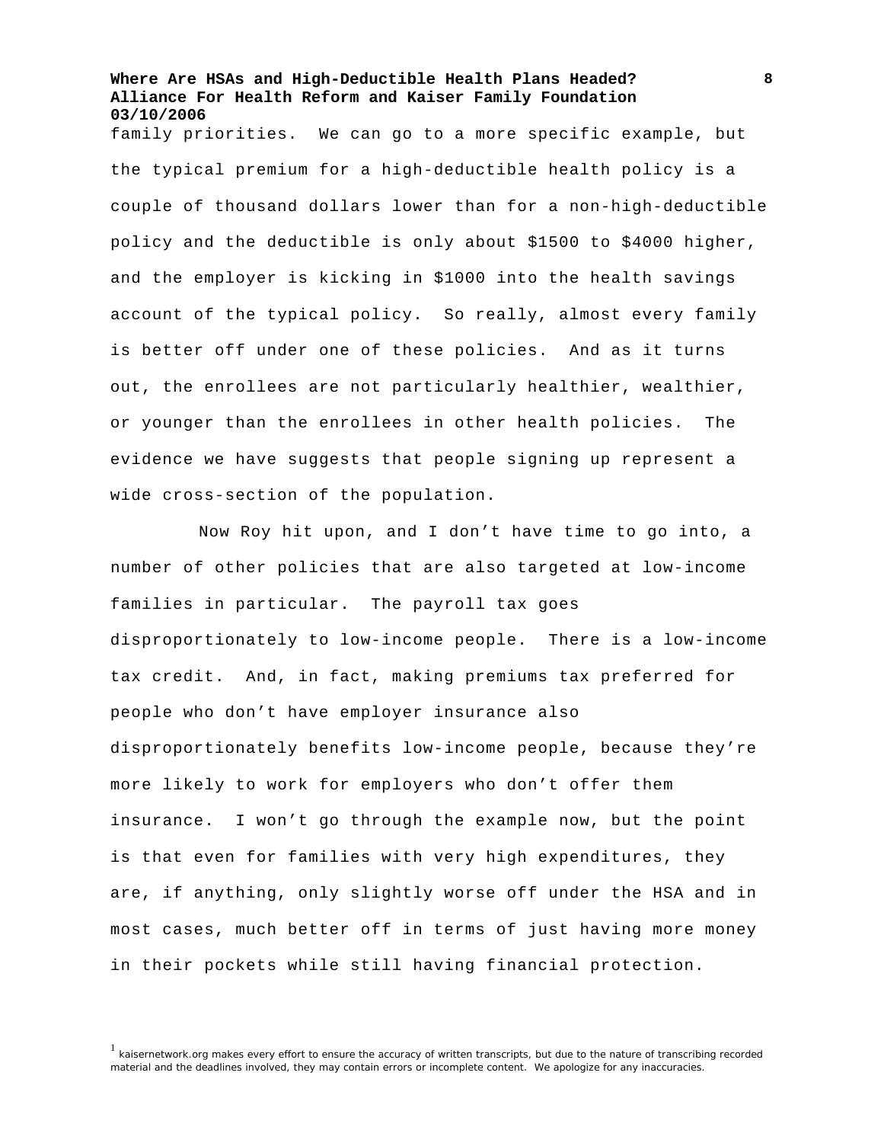family priorities. We can go to a more specific example, but the typical premium for a high-deductible health policy is a couple of thousand dollars lower than for a non-high-deductible policy and the deductible is only about \$1500 to \$4000 higher, and the employer is kicking in \$1000 into the health savings account of the typical policy. So really, almost every family is better off under one of these policies. And as it turns out, the enrollees are not particularly healthier, wealthier, or younger than the enrollees in other health policies. The evidence we have suggests that people signing up represent a wide cross-section of the population.

Now Roy hit upon, and I don't have time to go into, a number of other policies that are also targeted at low-income families in particular. The payroll tax goes disproportionately to low-income people. There is a low-income tax credit. And, in fact, making premiums tax preferred for people who don't have employer insurance also disproportionately benefits low-income people, because they're more likely to work for employers who don't offer them insurance. I won't go through the example now, but the point is that even for families with very high expenditures, they are, if anything, only slightly worse off under the HSA and in most cases, much better off in terms of just having more money in their pockets while still having financial protection.

<sup>&</sup>lt;sup>1</sup> kaisernetwork.org makes every effort to ensure the accuracy of written transcripts, but due to the nature of transcribing recorded material and the deadlines involved, they may contain errors or incomplete content. We apologize for any inaccuracies.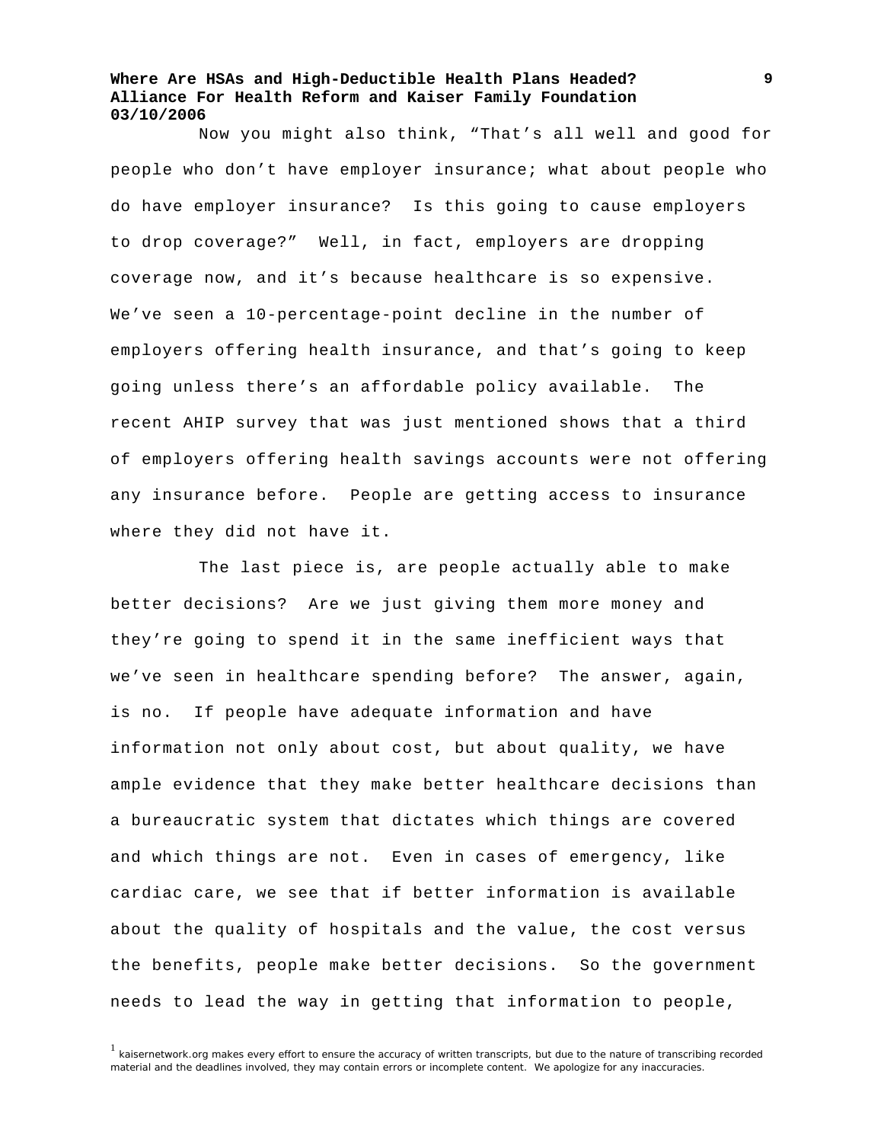Now you might also think, "That's all well and good for people who don't have employer insurance; what about people who do have employer insurance? Is this going to cause employers to drop coverage?" Well, in fact, employers are dropping coverage now, and it's because healthcare is so expensive. We've seen a 10-percentage-point decline in the number of employers offering health insurance, and that's going to keep going unless there's an affordable policy available. The recent AHIP survey that was just mentioned shows that a third of employers offering health savings accounts were not offering any insurance before. People are getting access to insurance where they did not have it.

The last piece is, are people actually able to make better decisions? Are we just giving them more money and they're going to spend it in the same inefficient ways that we've seen in healthcare spending before? The answer, again, is no. If people have adequate information and have information not only about cost, but about quality, we have ample evidence that they make better healthcare decisions than a bureaucratic system that dictates which things are covered and which things are not. Even in cases of emergency, like cardiac care, we see that if better information is available about the quality of hospitals and the value, the cost versus the benefits, people make better decisions. So the government needs to lead the way in getting that information to people,

<sup>1</sup> kaisernetwork.org makes every effort to ensure the accuracy of written transcripts, but due to the nature of transcribing recorded material and the deadlines involved, they may contain errors or incomplete content. We apologize for any inaccuracies.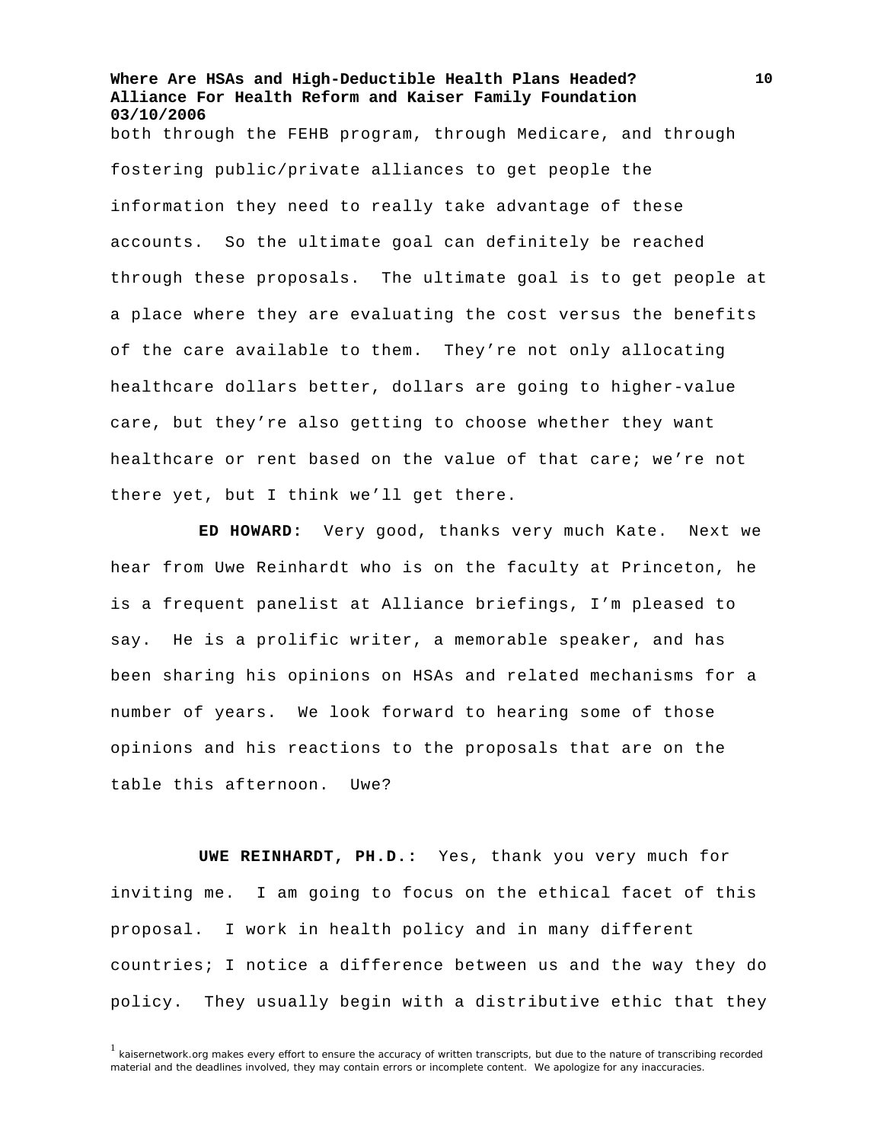**Where Are HSAs and High-Deductible Health Plans Headed? Alliance For Health Reform and Kaiser Family Foundation 03/10/2006**  both through the FEHB program, through Medicare, and through fostering public/private alliances to get people the information they need to really take advantage of these accounts. So the ultimate goal can definitely be reached through these proposals. The ultimate goal is to get people at a place where they are evaluating the cost versus the benefits of the care available to them. They're not only allocating healthcare dollars better, dollars are going to higher-value care, but they're also getting to choose whether they want healthcare or rent based on the value of that care; we're not there yet, but I think we'll get there.

**ED HOWARD:** Very good, thanks very much Kate. Next we hear from Uwe Reinhardt who is on the faculty at Princeton, he is a frequent panelist at Alliance briefings, I'm pleased to say. He is a prolific writer, a memorable speaker, and has been sharing his opinions on HSAs and related mechanisms for a number of years. We look forward to hearing some of those opinions and his reactions to the proposals that are on the table this afternoon. Uwe?

**UWE REINHARDT, PH.D.:** Yes, thank you very much for inviting me. I am going to focus on the ethical facet of this proposal. I work in health policy and in many different countries; I notice a difference between us and the way they do policy. They usually begin with a distributive ethic that they

 $1$  kaisernetwork.org makes every effort to ensure the accuracy of written transcripts, but due to the nature of transcribing recorded material and the deadlines involved, they may contain errors or incomplete content. We apologize for any inaccuracies.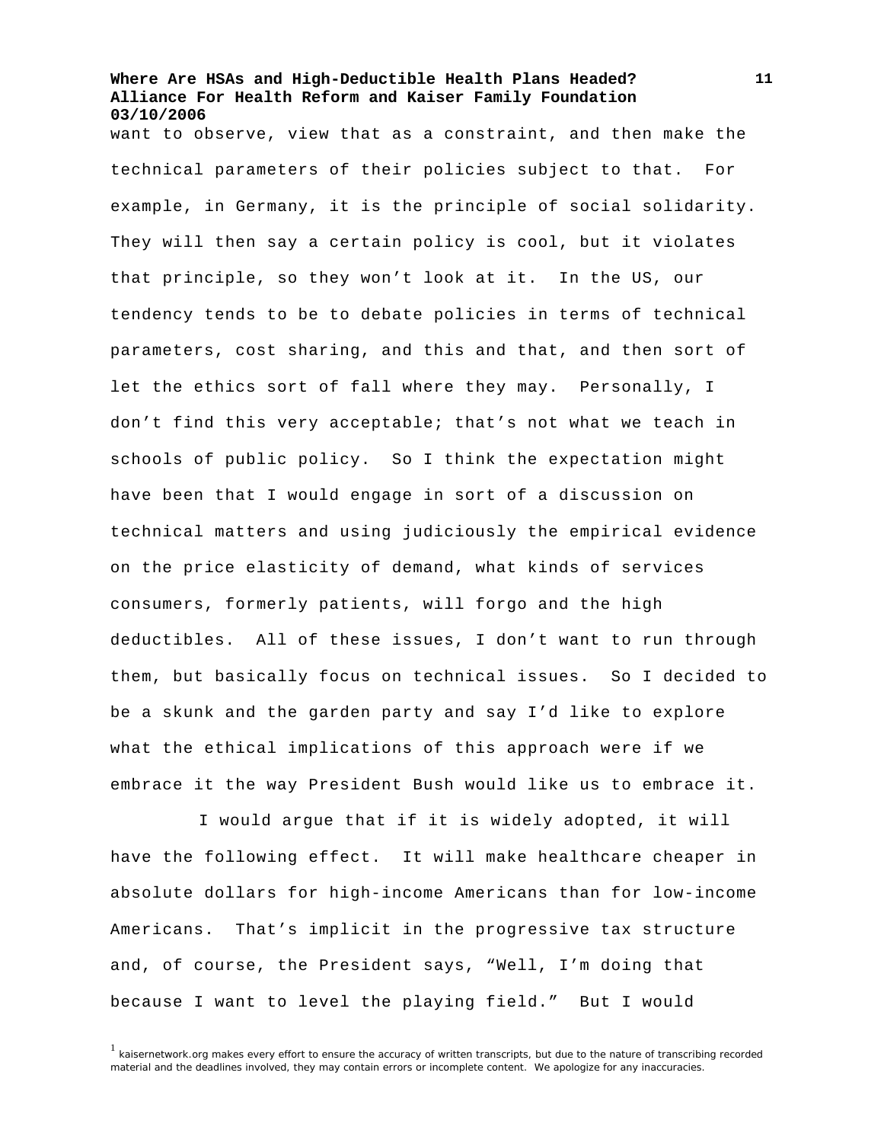want to observe, view that as a constraint, and then make the technical parameters of their policies subject to that. For example, in Germany, it is the principle of social solidarity. They will then say a certain policy is cool, but it violates that principle, so they won't look at it. In the US, our tendency tends to be to debate policies in terms of technical parameters, cost sharing, and this and that, and then sort of let the ethics sort of fall where they may. Personally, I don't find this very acceptable; that's not what we teach in schools of public policy. So I think the expectation might have been that I would engage in sort of a discussion on technical matters and using judiciously the empirical evidence on the price elasticity of demand, what kinds of services consumers, formerly patients, will forgo and the high deductibles. All of these issues, I don't want to run through them, but basically focus on technical issues. So I decided to be a skunk and the garden party and say I'd like to explore what the ethical implications of this approach were if we embrace it the way President Bush would like us to embrace it.

I would argue that if it is widely adopted, it will have the following effect. It will make healthcare cheaper in absolute dollars for high-income Americans than for low-income Americans. That's implicit in the progressive tax structure and, of course, the President says, "Well, I'm doing that because I want to level the playing field." But I would

 $<sup>1</sup>$  kaisernetwork.org makes every effort to ensure the accuracy of written transcripts, but due to the nature of transcribing recorded</sup> material and the deadlines involved, they may contain errors or incomplete content. We apologize for any inaccuracies.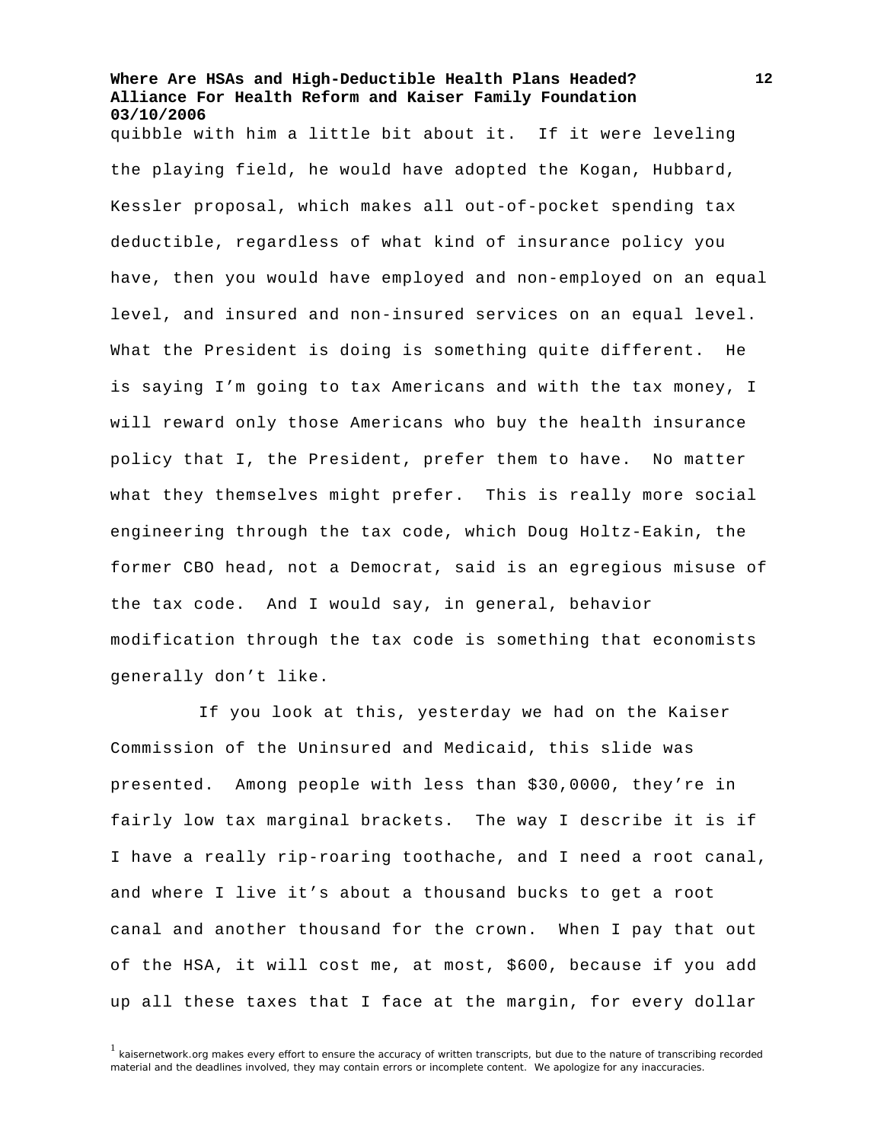quibble with him a little bit about it. If it were leveling the playing field, he would have adopted the Kogan, Hubbard, Kessler proposal, which makes all out-of-pocket spending tax deductible, regardless of what kind of insurance policy you have, then you would have employed and non-employed on an equal level, and insured and non-insured services on an equal level. What the President is doing is something quite different. He is saying I'm going to tax Americans and with the tax money, I will reward only those Americans who buy the health insurance policy that I, the President, prefer them to have. No matter what they themselves might prefer. This is really more social engineering through the tax code, which Doug Holtz-Eakin, the former CBO head, not a Democrat, said is an egregious misuse of the tax code. And I would say, in general, behavior modification through the tax code is something that economists generally don't like.

If you look at this, yesterday we had on the Kaiser Commission of the Uninsured and Medicaid, this slide was presented. Among people with less than \$30,0000, they're in fairly low tax marginal brackets. The way I describe it is if I have a really rip-roaring toothache, and I need a root canal, and where I live it's about a thousand bucks to get a root canal and another thousand for the crown. When I pay that out of the HSA, it will cost me, at most, \$600, because if you add up all these taxes that I face at the margin, for every dollar

<sup>&</sup>lt;sup>1</sup> kaisernetwork.org makes every effort to ensure the accuracy of written transcripts, but due to the nature of transcribing recorded material and the deadlines involved, they may contain errors or incomplete content. We apologize for any inaccuracies.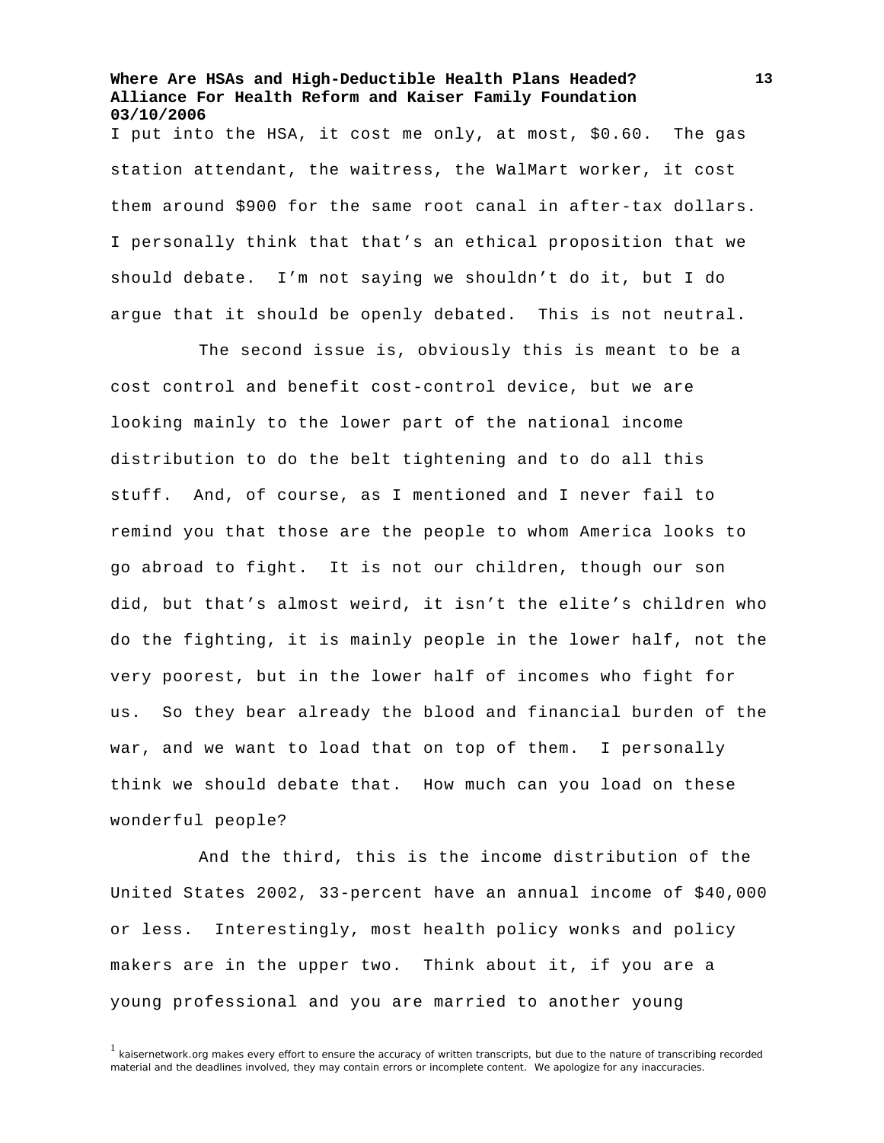I put into the HSA, it cost me only, at most, \$0.60. The gas station attendant, the waitress, the WalMart worker, it cost them around \$900 for the same root canal in after-tax dollars. I personally think that that's an ethical proposition that we should debate. I'm not saying we shouldn't do it, but I do argue that it should be openly debated. This is not neutral.

The second issue is, obviously this is meant to be a cost control and benefit cost-control device, but we are looking mainly to the lower part of the national income distribution to do the belt tightening and to do all this stuff. And, of course, as I mentioned and I never fail to remind you that those are the people to whom America looks to go abroad to fight. It is not our children, though our son did, but that's almost weird, it isn't the elite's children who do the fighting, it is mainly people in the lower half, not the very poorest, but in the lower half of incomes who fight for us. So they bear already the blood and financial burden of the war, and we want to load that on top of them. I personally think we should debate that. How much can you load on these wonderful people?

And the third, this is the income distribution of the United States 2002, 33-percent have an annual income of \$40,000 or less. Interestingly, most health policy wonks and policy makers are in the upper two. Think about it, if you are a young professional and you are married to another young

<sup>1</sup> kaisernetwork.org makes every effort to ensure the accuracy of written transcripts, but due to the nature of transcribing recorded material and the deadlines involved, they may contain errors or incomplete content. We apologize for any inaccuracies.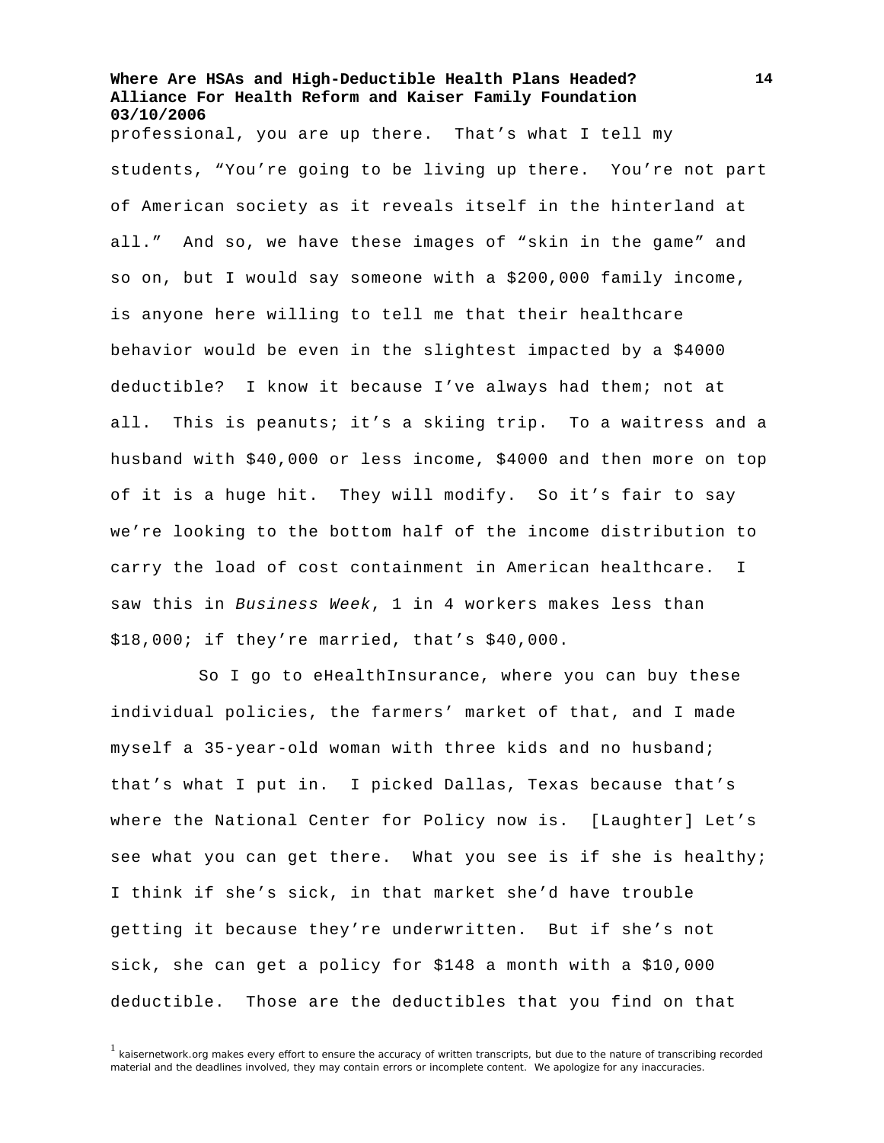professional, you are up there. That's what I tell my students, "You're going to be living up there. You're not part of American society as it reveals itself in the hinterland at all." And so, we have these images of "skin in the game" and so on, but I would say someone with a \$200,000 family income, is anyone here willing to tell me that their healthcare behavior would be even in the slightest impacted by a \$4000 deductible? I know it because I've always had them; not at all. This is peanuts; it's a skiing trip. To a waitress and a husband with \$40,000 or less income, \$4000 and then more on top of it is a huge hit. They will modify. So it's fair to say we're looking to the bottom half of the income distribution to carry the load of cost containment in American healthcare. I saw this in *Business Week*, 1 in 4 workers makes less than \$18,000; if they're married, that's \$40,000.

So I go to eHealthInsurance, where you can buy these individual policies, the farmers' market of that, and I made myself a 35-year-old woman with three kids and no husband; that's what I put in. I picked Dallas, Texas because that's where the National Center for Policy now is. [Laughter] Let's see what you can get there. What you see is if she is healthy; I think if she's sick, in that market she'd have trouble getting it because they're underwritten. But if she's not sick, she can get a policy for \$148 a month with a \$10,000 deductible. Those are the deductibles that you find on that

 $1$  kaisernetwork.org makes every effort to ensure the accuracy of written transcripts, but due to the nature of transcribing recorded material and the deadlines involved, they may contain errors or incomplete content. We apologize for any inaccuracies.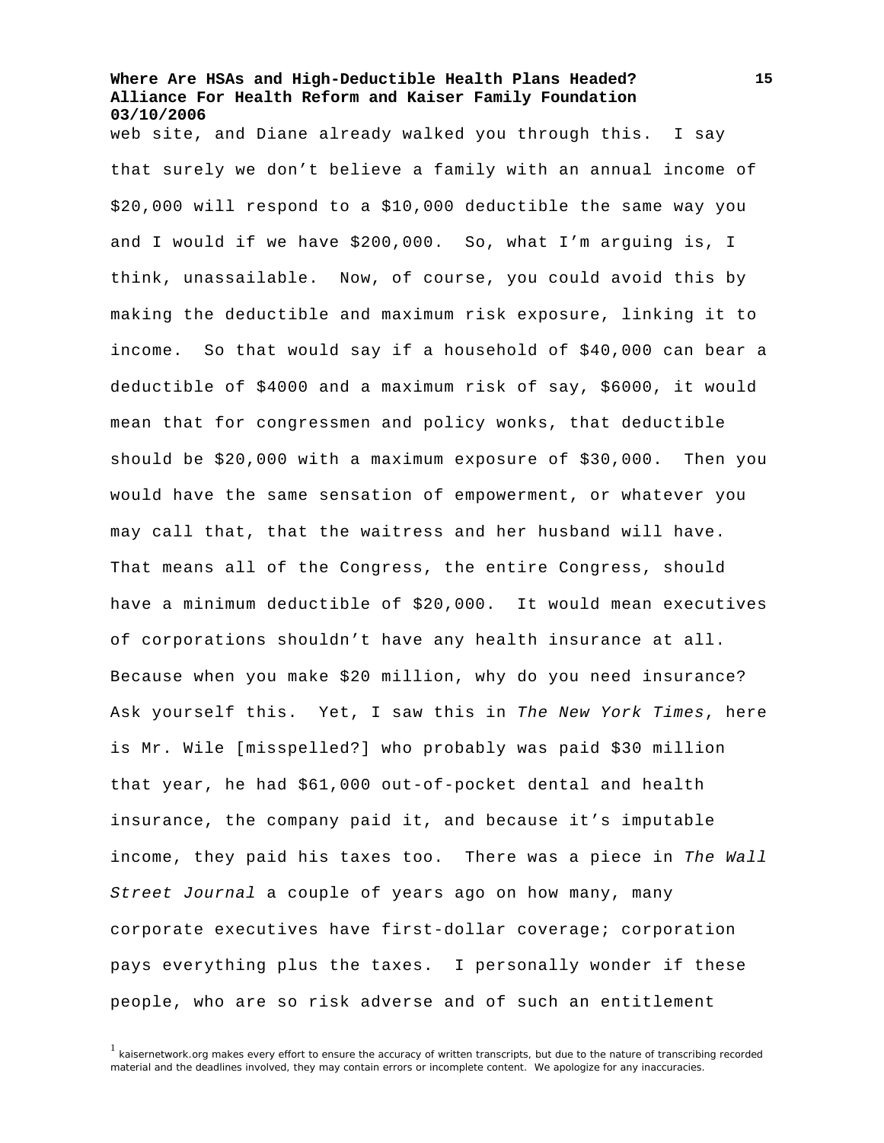web site, and Diane already walked you through this. I say that surely we don't believe a family with an annual income of \$20,000 will respond to a \$10,000 deductible the same way you and I would if we have \$200,000. So, what I'm arguing is, I think, unassailable. Now, of course, you could avoid this by making the deductible and maximum risk exposure, linking it to income. So that would say if a household of \$40,000 can bear a deductible of \$4000 and a maximum risk of say, \$6000, it would mean that for congressmen and policy wonks, that deductible should be \$20,000 with a maximum exposure of \$30,000. Then you would have the same sensation of empowerment, or whatever you may call that, that the waitress and her husband will have. That means all of the Congress, the entire Congress, should have a minimum deductible of \$20,000. It would mean executives of corporations shouldn't have any health insurance at all. Because when you make \$20 million, why do you need insurance? Ask yourself this. Yet, I saw this in *The New York Times*, here is Mr. Wile [misspelled?] who probably was paid \$30 million that year, he had \$61,000 out-of-pocket dental and health insurance, the company paid it, and because it's imputable income, they paid his taxes too. There was a piece in *The Wall Street Journal* a couple of years ago on how many, many corporate executives have first-dollar coverage; corporation pays everything plus the taxes. I personally wonder if these people, who are so risk adverse and of such an entitlement

<sup>&</sup>lt;sup>1</sup> kaisernetwork.org makes every effort to ensure the accuracy of written transcripts, but due to the nature of transcribing recorded material and the deadlines involved, they may contain errors or incomplete content. We apologize for any inaccuracies.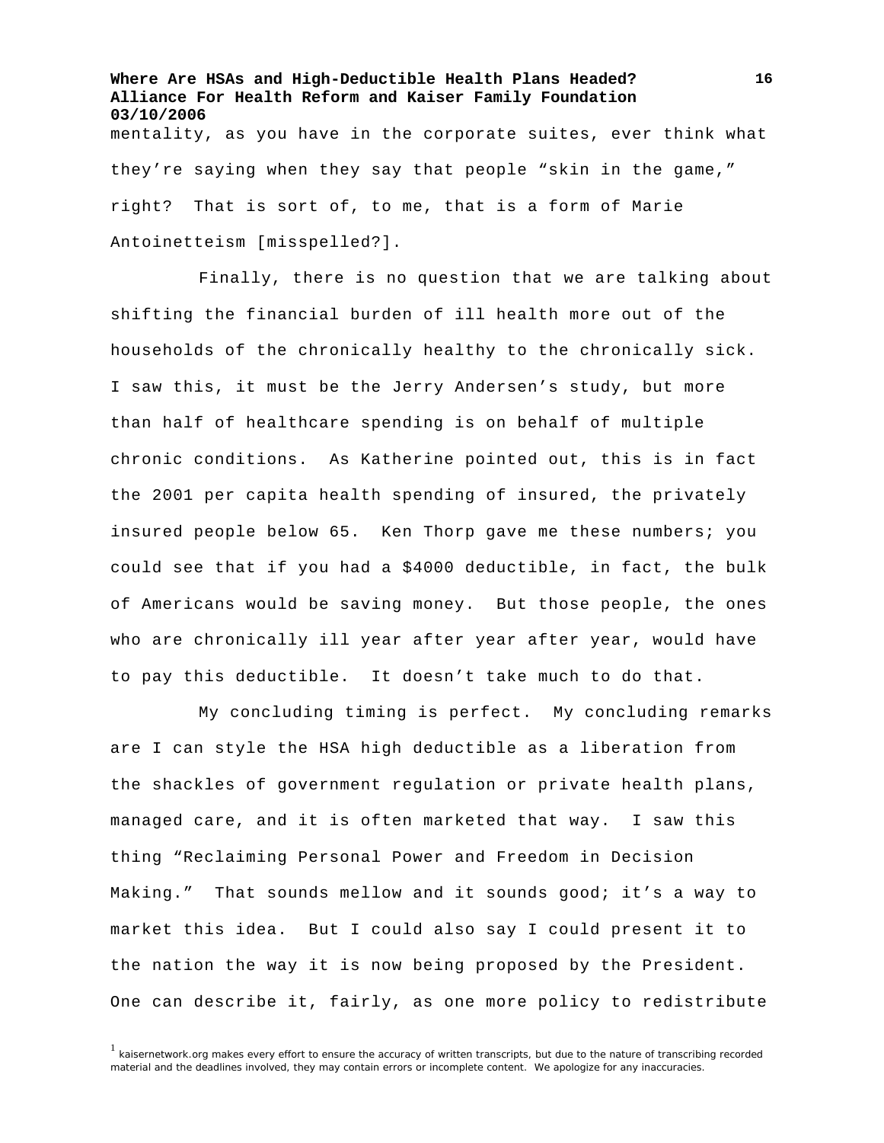**Where Are HSAs and High-Deductible Health Plans Headed? Alliance For Health Reform and Kaiser Family Foundation 03/10/2006**  mentality, as you have in the corporate suites, ever think what they're saying when they say that people "skin in the game," right? That is sort of, to me, that is a form of Marie Antoinetteism [misspelled?].

Finally, there is no question that we are talking about shifting the financial burden of ill health more out of the households of the chronically healthy to the chronically sick. I saw this, it must be the Jerry Andersen's study, but more than half of healthcare spending is on behalf of multiple chronic conditions. As Katherine pointed out, this is in fact the 2001 per capita health spending of insured, the privately insured people below 65. Ken Thorp gave me these numbers; you could see that if you had a \$4000 deductible, in fact, the bulk of Americans would be saving money. But those people, the ones who are chronically ill year after year after year, would have to pay this deductible. It doesn't take much to do that.

My concluding timing is perfect. My concluding remarks are I can style the HSA high deductible as a liberation from the shackles of government regulation or private health plans, managed care, and it is often marketed that way. I saw this thing "Reclaiming Personal Power and Freedom in Decision Making." That sounds mellow and it sounds good; it's a way to market this idea. But I could also say I could present it to the nation the way it is now being proposed by the President. One can describe it, fairly, as one more policy to redistribute

 $1$  kaisernetwork.org makes every effort to ensure the accuracy of written transcripts, but due to the nature of transcribing recorded material and the deadlines involved, they may contain errors or incomplete content. We apologize for any inaccuracies.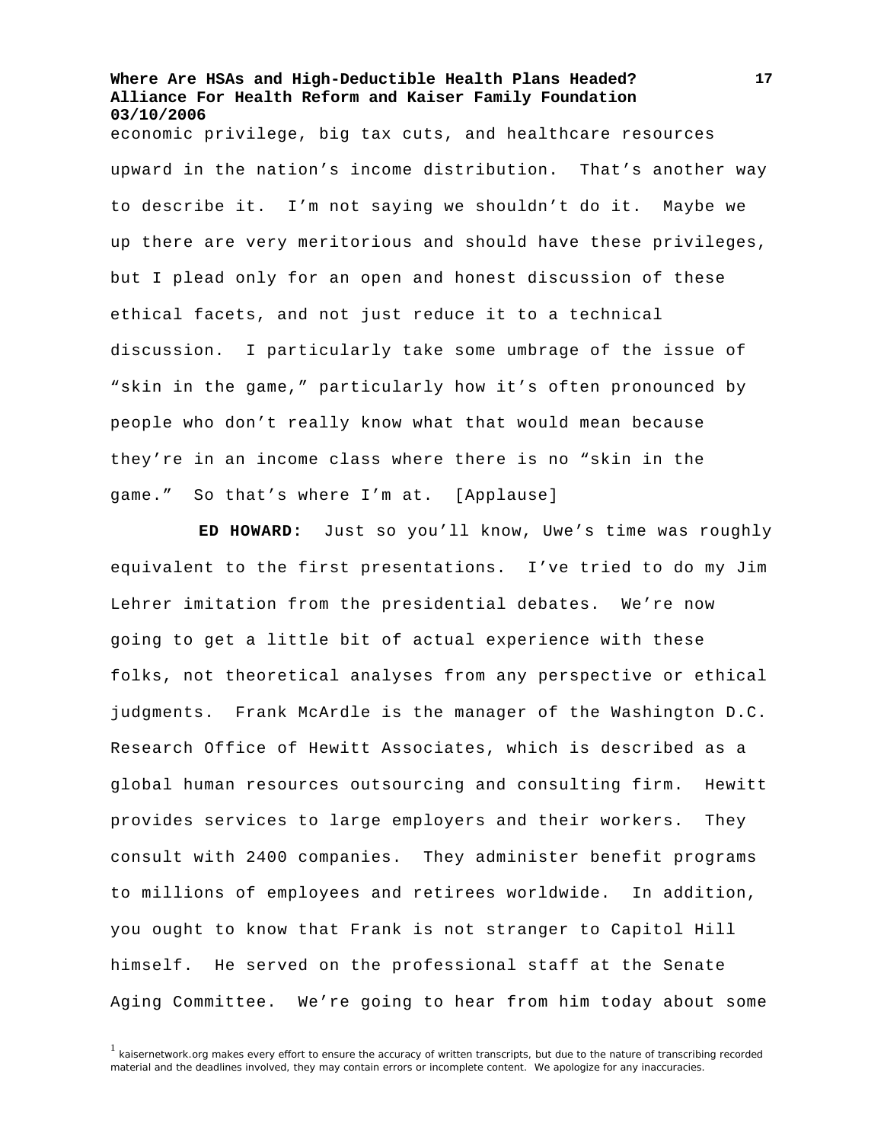economic privilege, big tax cuts, and healthcare resources upward in the nation's income distribution. That's another way to describe it. I'm not saying we shouldn't do it. Maybe we up there are very meritorious and should have these privileges, but I plead only for an open and honest discussion of these ethical facets, and not just reduce it to a technical discussion. I particularly take some umbrage of the issue of "skin in the game," particularly how it's often pronounced by people who don't really know what that would mean because they're in an income class where there is no "skin in the game." So that's where I'm at. [Applause]

**ED HOWARD:** Just so you'll know, Uwe's time was roughly equivalent to the first presentations. I've tried to do my Jim Lehrer imitation from the presidential debates. We're now going to get a little bit of actual experience with these folks, not theoretical analyses from any perspective or ethical judgments. Frank McArdle is the manager of the Washington D.C. Research Office of Hewitt Associates, which is described as a global human resources outsourcing and consulting firm. Hewitt provides services to large employers and their workers. They consult with 2400 companies. They administer benefit programs to millions of employees and retirees worldwide. In addition, you ought to know that Frank is not stranger to Capitol Hill himself. He served on the professional staff at the Senate Aging Committee. We're going to hear from him today about some

 $1$  kaisernetwork.org makes every effort to ensure the accuracy of written transcripts, but due to the nature of transcribing recorded material and the deadlines involved, they may contain errors or incomplete content. We apologize for any inaccuracies.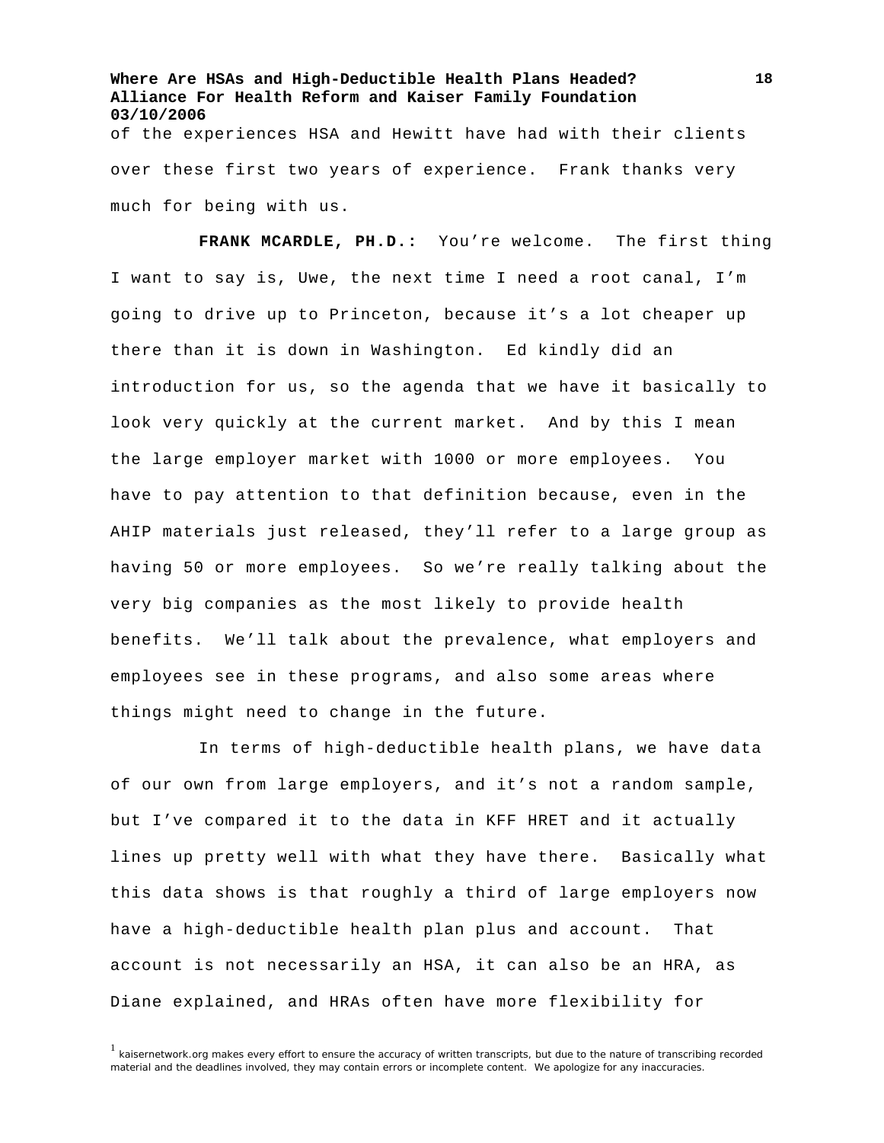**Where Are HSAs and High-Deductible Health Plans Headed? Alliance For Health Reform and Kaiser Family Foundation 03/10/2006**  of the experiences HSA and Hewitt have had with their clients over these first two years of experience. Frank thanks very much for being with us.

**FRANK MCARDLE, PH.D.:** You're welcome. The first thing I want to say is, Uwe, the next time I need a root canal, I'm going to drive up to Princeton, because it's a lot cheaper up there than it is down in Washington. Ed kindly did an introduction for us, so the agenda that we have it basically to look very quickly at the current market. And by this I mean the large employer market with 1000 or more employees. You have to pay attention to that definition because, even in the AHIP materials just released, they'll refer to a large group as having 50 or more employees. So we're really talking about the very big companies as the most likely to provide health benefits. We'll talk about the prevalence, what employers and employees see in these programs, and also some areas where things might need to change in the future.

In terms of high-deductible health plans, we have data of our own from large employers, and it's not a random sample, but I've compared it to the data in KFF HRET and it actually lines up pretty well with what they have there. Basically what this data shows is that roughly a third of large employers now have a high-deductible health plan plus and account. That account is not necessarily an HSA, it can also be an HRA, as Diane explained, and HRAs often have more flexibility for

<sup>&</sup>lt;sup>1</sup> kaisernetwork.org makes every effort to ensure the accuracy of written transcripts, but due to the nature of transcribing recorded material and the deadlines involved, they may contain errors or incomplete content. We apologize for any inaccuracies.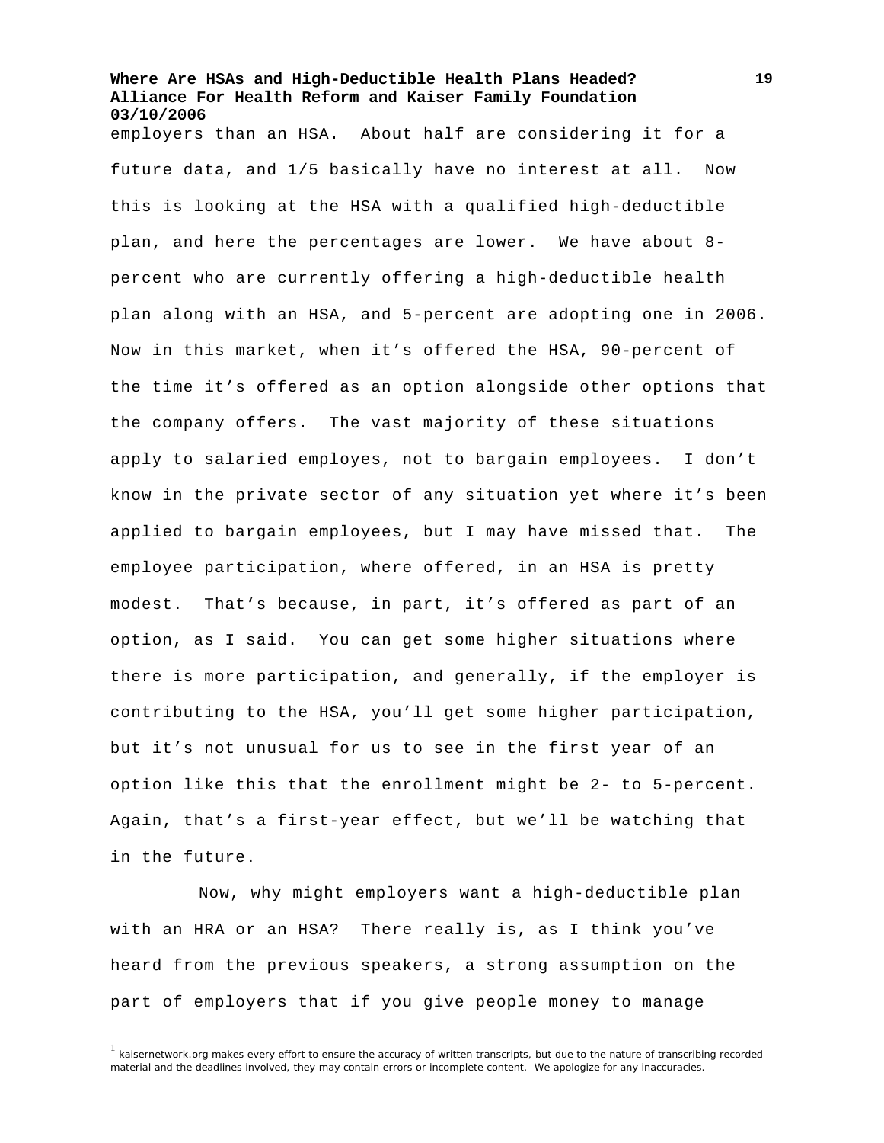employers than an HSA. About half are considering it for a future data, and 1/5 basically have no interest at all. Now this is looking at the HSA with a qualified high-deductible plan, and here the percentages are lower. We have about 8 percent who are currently offering a high-deductible health plan along with an HSA, and 5-percent are adopting one in 2006. Now in this market, when it's offered the HSA, 90-percent of the time it's offered as an option alongside other options that the company offers. The vast majority of these situations apply to salaried employes, not to bargain employees. I don't know in the private sector of any situation yet where it's been applied to bargain employees, but I may have missed that. The employee participation, where offered, in an HSA is pretty modest. That's because, in part, it's offered as part of an option, as I said. You can get some higher situations where there is more participation, and generally, if the employer is contributing to the HSA, you'll get some higher participation, but it's not unusual for us to see in the first year of an option like this that the enrollment might be 2- to 5-percent. Again, that's a first-year effect, but we'll be watching that in the future.

Now, why might employers want a high-deductible plan with an HRA or an HSA? There really is, as I think you've heard from the previous speakers, a strong assumption on the part of employers that if you give people money to manage

 $1$  kaisernetwork.org makes every effort to ensure the accuracy of written transcripts, but due to the nature of transcribing recorded material and the deadlines involved, they may contain errors or incomplete content. We apologize for any inaccuracies.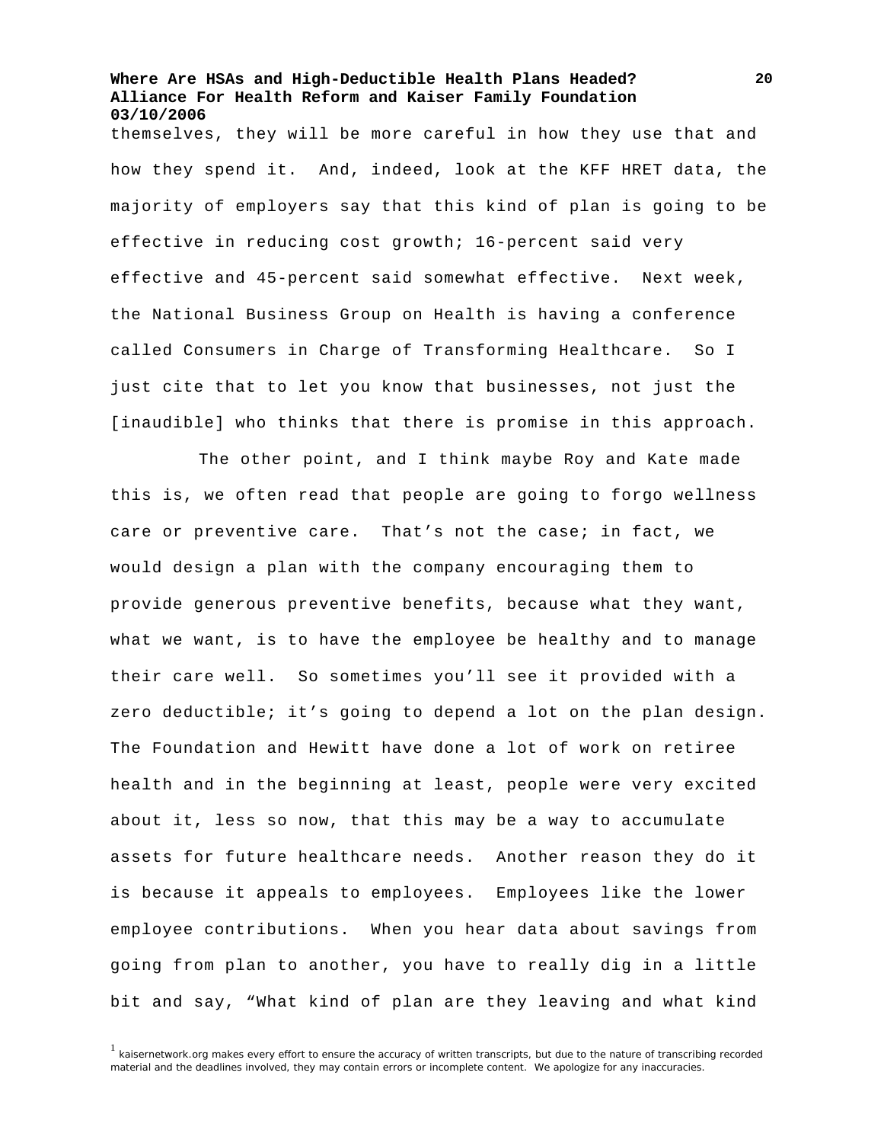themselves, they will be more careful in how they use that and how they spend it. And, indeed, look at the KFF HRET data, the majority of employers say that this kind of plan is going to be effective in reducing cost growth; 16-percent said very effective and 45-percent said somewhat effective. Next week, the National Business Group on Health is having a conference called Consumers in Charge of Transforming Healthcare. So I just cite that to let you know that businesses, not just the [inaudible] who thinks that there is promise in this approach.

The other point, and I think maybe Roy and Kate made this is, we often read that people are going to forgo wellness care or preventive care. That's not the case; in fact, we would design a plan with the company encouraging them to provide generous preventive benefits, because what they want, what we want, is to have the employee be healthy and to manage their care well. So sometimes you'll see it provided with a zero deductible; it's going to depend a lot on the plan design. The Foundation and Hewitt have done a lot of work on retiree health and in the beginning at least, people were very excited about it, less so now, that this may be a way to accumulate assets for future healthcare needs. Another reason they do it is because it appeals to employees. Employees like the lower employee contributions. When you hear data about savings from going from plan to another, you have to really dig in a little bit and say, "What kind of plan are they leaving and what kind

 $1$  kaisernetwork.org makes every effort to ensure the accuracy of written transcripts, but due to the nature of transcribing recorded material and the deadlines involved, they may contain errors or incomplete content. We apologize for any inaccuracies.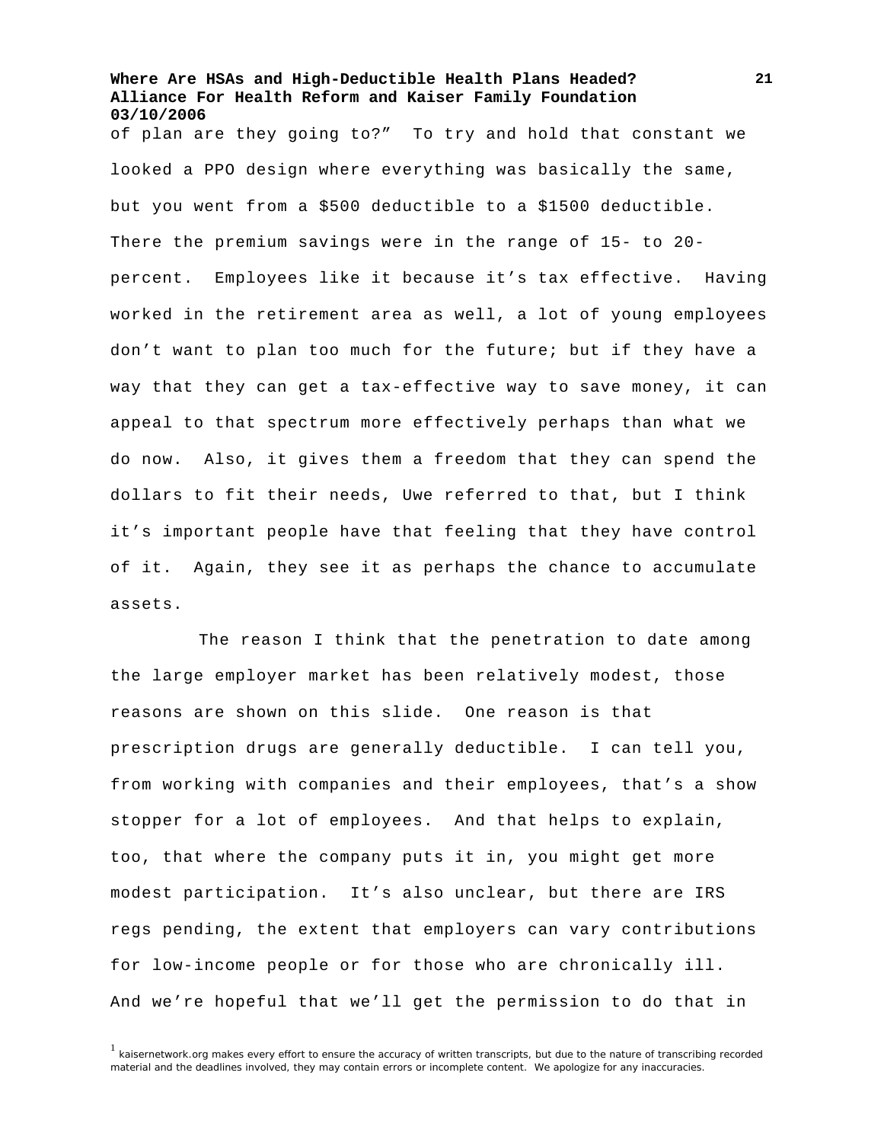of plan are they going to?" To try and hold that constant we looked a PPO design where everything was basically the same, but you went from a \$500 deductible to a \$1500 deductible. There the premium savings were in the range of 15- to 20 percent. Employees like it because it's tax effective. Having worked in the retirement area as well, a lot of young employees don't want to plan too much for the future; but if they have a way that they can get a tax-effective way to save money, it can appeal to that spectrum more effectively perhaps than what we do now. Also, it gives them a freedom that they can spend the dollars to fit their needs, Uwe referred to that, but I think it's important people have that feeling that they have control of it. Again, they see it as perhaps the chance to accumulate assets.

The reason I think that the penetration to date among the large employer market has been relatively modest, those reasons are shown on this slide. One reason is that prescription drugs are generally deductible. I can tell you, from working with companies and their employees, that's a show stopper for a lot of employees. And that helps to explain, too, that where the company puts it in, you might get more modest participation. It's also unclear, but there are IRS regs pending, the extent that employers can vary contributions for low-income people or for those who are chronically ill. And we're hopeful that we'll get the permission to do that in

 $1$  kaisernetwork.org makes every effort to ensure the accuracy of written transcripts, but due to the nature of transcribing recorded material and the deadlines involved, they may contain errors or incomplete content. We apologize for any inaccuracies.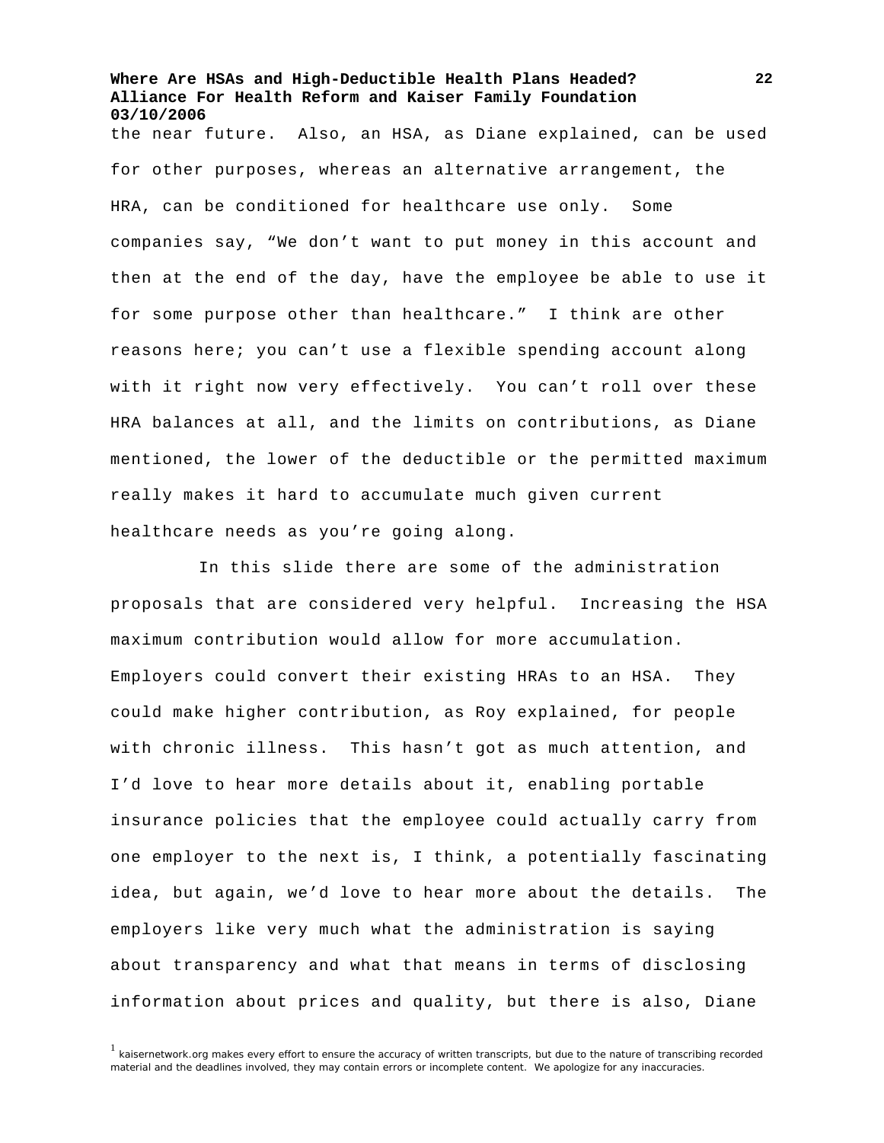the near future. Also, an HSA, as Diane explained, can be used for other purposes, whereas an alternative arrangement, the HRA, can be conditioned for healthcare use only. Some companies say, "We don't want to put money in this account and then at the end of the day, have the employee be able to use it for some purpose other than healthcare." I think are other reasons here; you can't use a flexible spending account along with it right now very effectively. You can't roll over these HRA balances at all, and the limits on contributions, as Diane mentioned, the lower of the deductible or the permitted maximum really makes it hard to accumulate much given current healthcare needs as you're going along.

In this slide there are some of the administration proposals that are considered very helpful. Increasing the HSA maximum contribution would allow for more accumulation. Employers could convert their existing HRAs to an HSA. They could make higher contribution, as Roy explained, for people with chronic illness. This hasn't got as much attention, and I'd love to hear more details about it, enabling portable insurance policies that the employee could actually carry from one employer to the next is, I think, a potentially fascinating idea, but again, we'd love to hear more about the details. The employers like very much what the administration is saying about transparency and what that means in terms of disclosing information about prices and quality, but there is also, Diane

 $1$  kaisernetwork.org makes every effort to ensure the accuracy of written transcripts, but due to the nature of transcribing recorded material and the deadlines involved, they may contain errors or incomplete content. We apologize for any inaccuracies.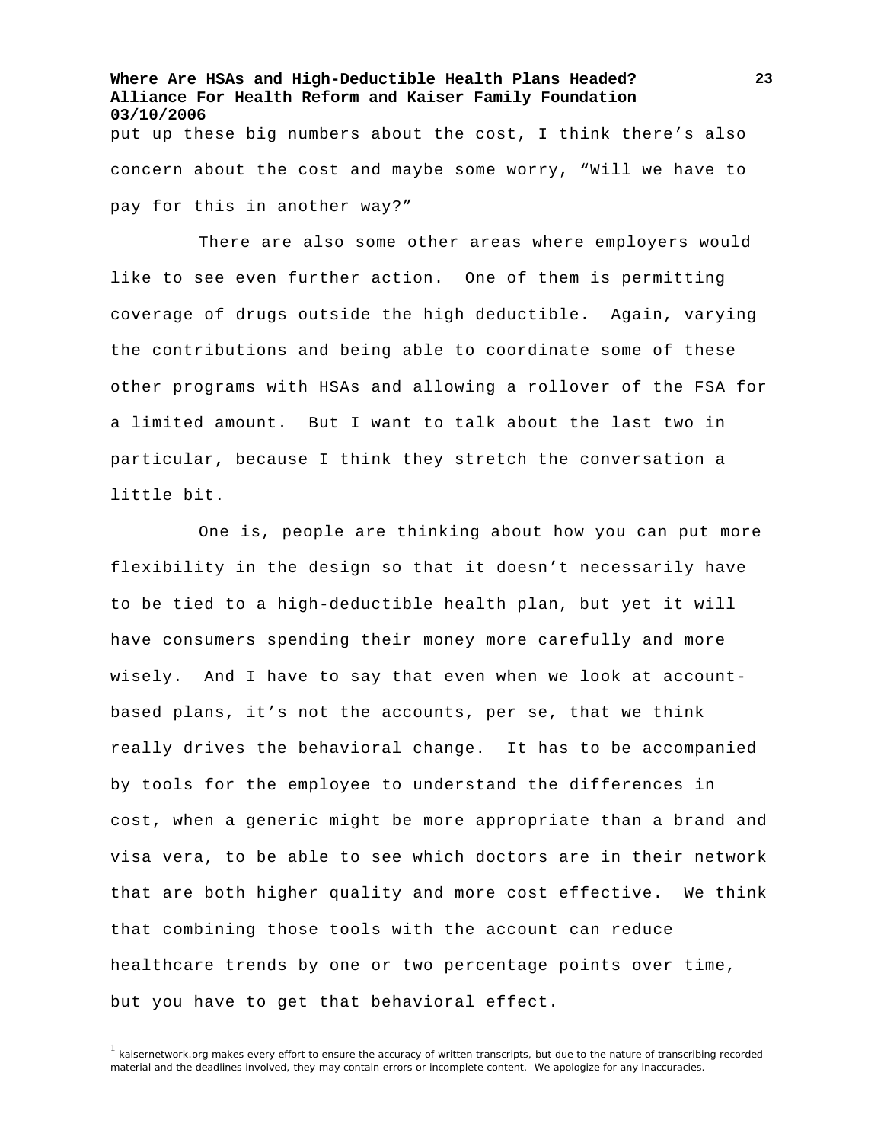**Where Are HSAs and High-Deductible Health Plans Headed? Alliance For Health Reform and Kaiser Family Foundation 03/10/2006**  put up these big numbers about the cost, I think there's also concern about the cost and maybe some worry, "Will we have to pay for this in another way?"

There are also some other areas where employers would like to see even further action. One of them is permitting coverage of drugs outside the high deductible. Again, varying the contributions and being able to coordinate some of these other programs with HSAs and allowing a rollover of the FSA for a limited amount. But I want to talk about the last two in particular, because I think they stretch the conversation a little bit.

One is, people are thinking about how you can put more flexibility in the design so that it doesn't necessarily have to be tied to a high-deductible health plan, but yet it will have consumers spending their money more carefully and more wisely. And I have to say that even when we look at accountbased plans, it's not the accounts, per se, that we think really drives the behavioral change. It has to be accompanied by tools for the employee to understand the differences in cost, when a generic might be more appropriate than a brand and visa vera, to be able to see which doctors are in their network that are both higher quality and more cost effective. We think that combining those tools with the account can reduce healthcare trends by one or two percentage points over time, but you have to get that behavioral effect.

<sup>&</sup>lt;sup>1</sup> kaisernetwork.org makes every effort to ensure the accuracy of written transcripts, but due to the nature of transcribing recorded material and the deadlines involved, they may contain errors or incomplete content. We apologize for any inaccuracies.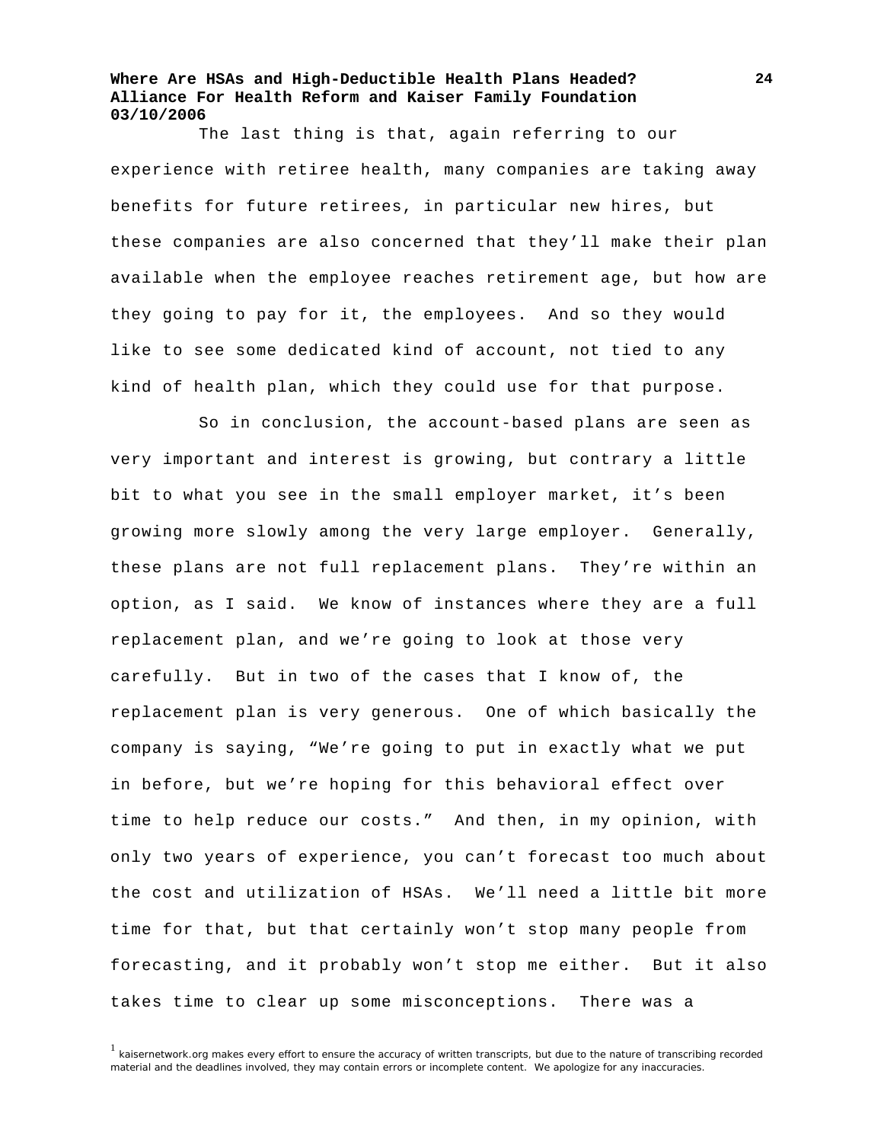The last thing is that, again referring to our experience with retiree health, many companies are taking away benefits for future retirees, in particular new hires, but these companies are also concerned that they'll make their plan available when the employee reaches retirement age, but how are they going to pay for it, the employees. And so they would like to see some dedicated kind of account, not tied to any kind of health plan, which they could use for that purpose.

So in conclusion, the account-based plans are seen as very important and interest is growing, but contrary a little bit to what you see in the small employer market, it's been growing more slowly among the very large employer. Generally, these plans are not full replacement plans. They're within an option, as I said. We know of instances where they are a full replacement plan, and we're going to look at those very carefully. But in two of the cases that I know of, the replacement plan is very generous. One of which basically the company is saying, "We're going to put in exactly what we put in before, but we're hoping for this behavioral effect over time to help reduce our costs." And then, in my opinion, with only two years of experience, you can't forecast too much about the cost and utilization of HSAs. We'll need a little bit more time for that, but that certainly won't stop many people from forecasting, and it probably won't stop me either. But it also takes time to clear up some misconceptions. There was a

 $<sup>1</sup>$  kaisernetwork.org makes every effort to ensure the accuracy of written transcripts, but due to the nature of transcribing recorded</sup> material and the deadlines involved, they may contain errors or incomplete content. We apologize for any inaccuracies.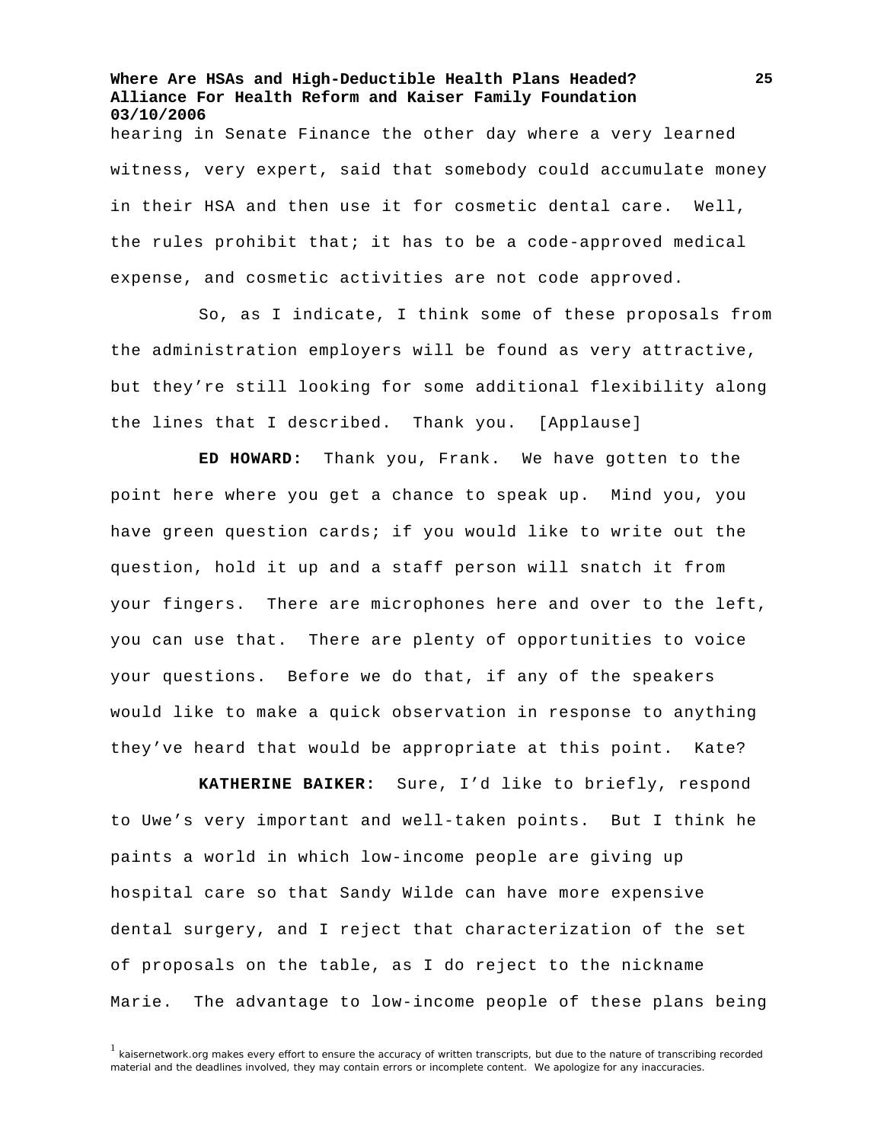**Where Are HSAs and High-Deductible Health Plans Headed? Alliance For Health Reform and Kaiser Family Foundation 03/10/2006**  hearing in Senate Finance the other day where a very learned witness, very expert, said that somebody could accumulate money in their HSA and then use it for cosmetic dental care. Well, the rules prohibit that; it has to be a code-approved medical expense, and cosmetic activities are not code approved.

So, as I indicate, I think some of these proposals from the administration employers will be found as very attractive, but they're still looking for some additional flexibility along the lines that I described. Thank you. [Applause]

**ED HOWARD:** Thank you, Frank. We have gotten to the point here where you get a chance to speak up. Mind you, you have green question cards; if you would like to write out the question, hold it up and a staff person will snatch it from your fingers. There are microphones here and over to the left, you can use that. There are plenty of opportunities to voice your questions. Before we do that, if any of the speakers would like to make a quick observation in response to anything they've heard that would be appropriate at this point. Kate?

**KATHERINE BAIKER:** Sure, I'd like to briefly, respond to Uwe's very important and well-taken points. But I think he paints a world in which low-income people are giving up hospital care so that Sandy Wilde can have more expensive dental surgery, and I reject that characterization of the set of proposals on the table, as I do reject to the nickname Marie. The advantage to low-income people of these plans being

 $1$  kaisernetwork.org makes every effort to ensure the accuracy of written transcripts, but due to the nature of transcribing recorded material and the deadlines involved, they may contain errors or incomplete content. We apologize for any inaccuracies.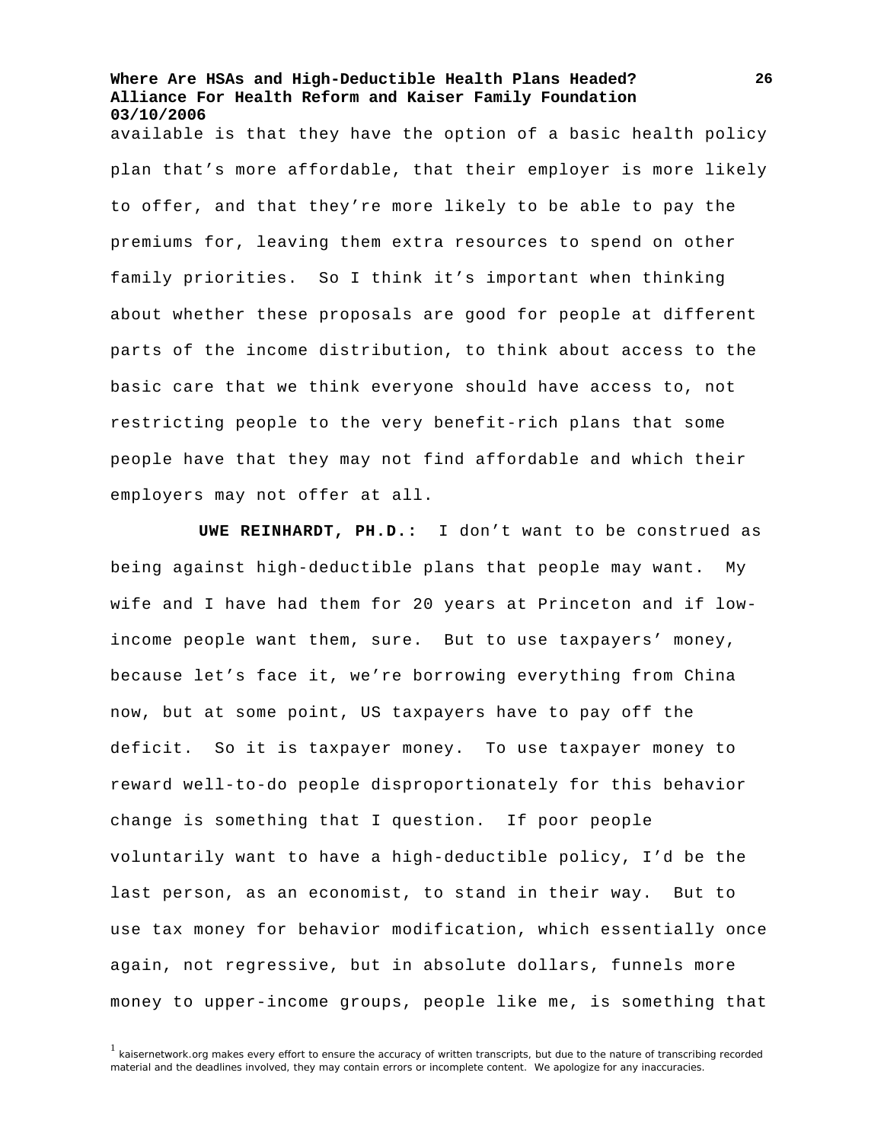available is that they have the option of a basic health policy plan that's more affordable, that their employer is more likely to offer, and that they're more likely to be able to pay the premiums for, leaving them extra resources to spend on other family priorities. So I think it's important when thinking about whether these proposals are good for people at different parts of the income distribution, to think about access to the basic care that we think everyone should have access to, not restricting people to the very benefit-rich plans that some people have that they may not find affordable and which their employers may not offer at all.

**UWE REINHARDT, PH.D.:** I don't want to be construed as being against high-deductible plans that people may want. My wife and I have had them for 20 years at Princeton and if lowincome people want them, sure. But to use taxpayers' money, because let's face it, we're borrowing everything from China now, but at some point, US taxpayers have to pay off the deficit. So it is taxpayer money. To use taxpayer money to reward well-to-do people disproportionately for this behavior change is something that I question. If poor people voluntarily want to have a high-deductible policy, I'd be the last person, as an economist, to stand in their way. But to use tax money for behavior modification, which essentially once again, not regressive, but in absolute dollars, funnels more money to upper-income groups, people like me, is something that

 $1$  kaisernetwork.org makes every effort to ensure the accuracy of written transcripts, but due to the nature of transcribing recorded material and the deadlines involved, they may contain errors or incomplete content. We apologize for any inaccuracies.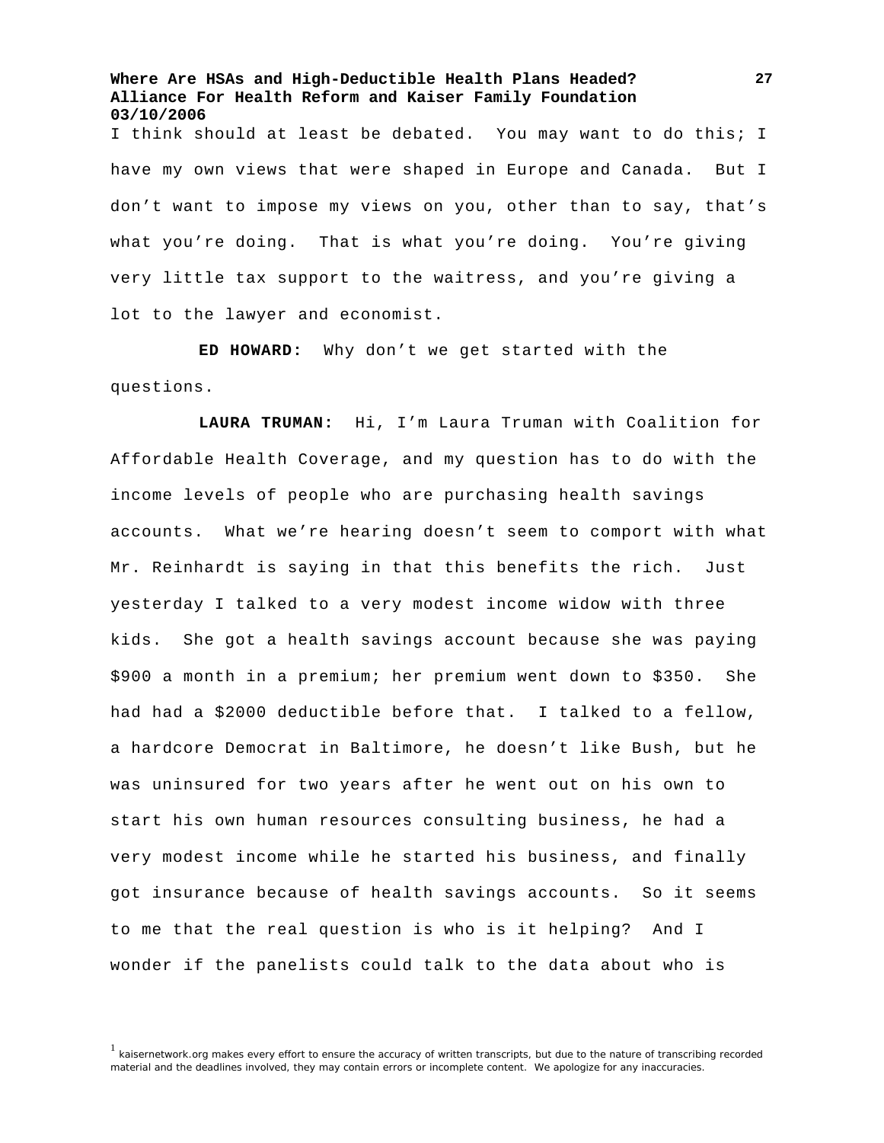I think should at least be debated. You may want to do this; I have my own views that were shaped in Europe and Canada. But I don't want to impose my views on you, other than to say, that's what you're doing. That is what you're doing. You're giving very little tax support to the waitress, and you're giving a lot to the lawyer and economist.

**ED HOWARD:** Why don't we get started with the questions.

**LAURA TRUMAN:** Hi, I'm Laura Truman with Coalition for Affordable Health Coverage, and my question has to do with the income levels of people who are purchasing health savings accounts. What we're hearing doesn't seem to comport with what Mr. Reinhardt is saying in that this benefits the rich. Just yesterday I talked to a very modest income widow with three kids. She got a health savings account because she was paying \$900 a month in a premium; her premium went down to \$350. She had had a \$2000 deductible before that. I talked to a fellow, a hardcore Democrat in Baltimore, he doesn't like Bush, but he was uninsured for two years after he went out on his own to start his own human resources consulting business, he had a very modest income while he started his business, and finally got insurance because of health savings accounts. So it seems to me that the real question is who is it helping? And I wonder if the panelists could talk to the data about who is

<sup>&</sup>lt;sup>1</sup> kaisernetwork.org makes every effort to ensure the accuracy of written transcripts, but due to the nature of transcribing recorded material and the deadlines involved, they may contain errors or incomplete content. We apologize for any inaccuracies.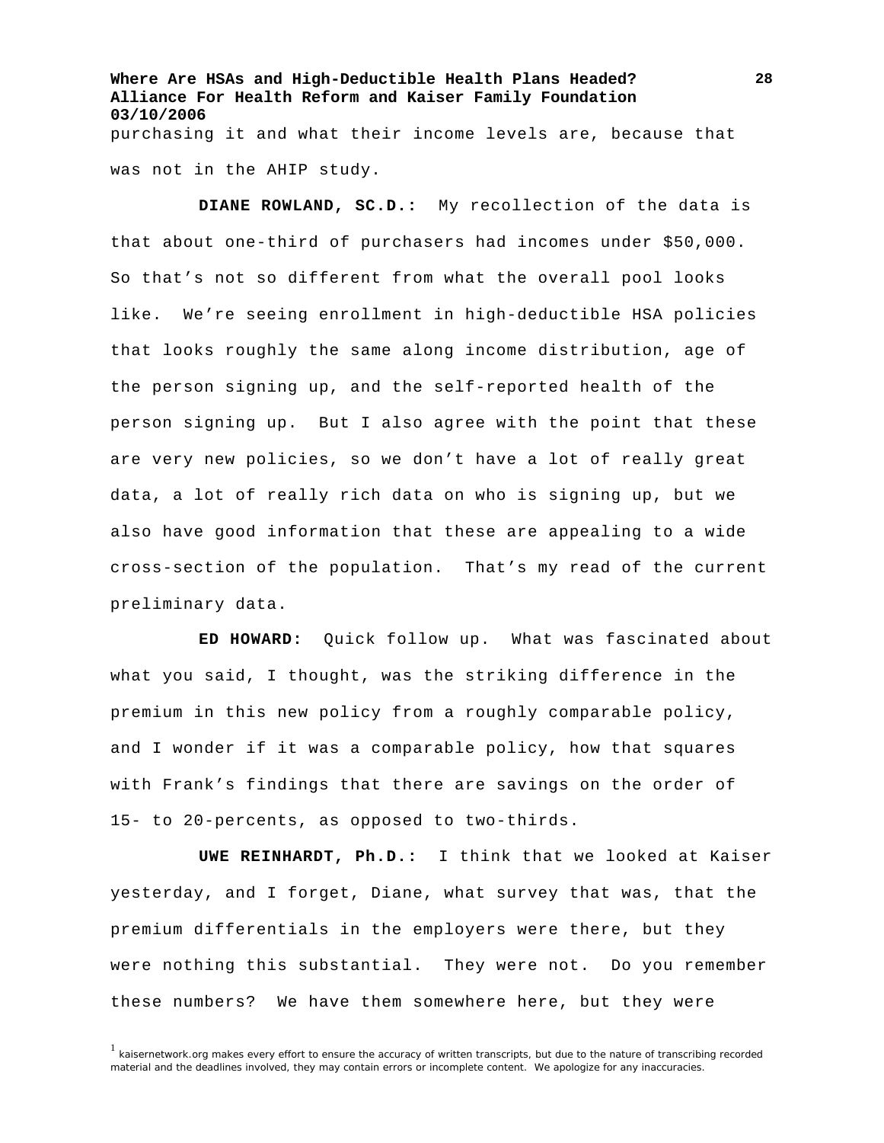**Where Are HSAs and High-Deductible Health Plans Headed? Alliance For Health Reform and Kaiser Family Foundation 03/10/2006**  purchasing it and what their income levels are, because that was not in the AHIP study.

**DIANE ROWLAND, SC.D.:** My recollection of the data is that about one-third of purchasers had incomes under \$50,000. So that's not so different from what the overall pool looks like. We're seeing enrollment in high-deductible HSA policies that looks roughly the same along income distribution, age of the person signing up, and the self-reported health of the person signing up. But I also agree with the point that these are very new policies, so we don't have a lot of really great data, a lot of really rich data on who is signing up, but we also have good information that these are appealing to a wide cross-section of the population. That's my read of the current preliminary data.

**ED HOWARD:** Quick follow up. What was fascinated about what you said, I thought, was the striking difference in the premium in this new policy from a roughly comparable policy, and I wonder if it was a comparable policy, how that squares with Frank's findings that there are savings on the order of 15- to 20-percents, as opposed to two-thirds.

**UWE REINHARDT, Ph.D.:** I think that we looked at Kaiser yesterday, and I forget, Diane, what survey that was, that the premium differentials in the employers were there, but they were nothing this substantial. They were not. Do you remember these numbers? We have them somewhere here, but they were

 $<sup>1</sup>$  kaisernetwork.org makes every effort to ensure the accuracy of written transcripts, but due to the nature of transcribing recorded</sup> material and the deadlines involved, they may contain errors or incomplete content. We apologize for any inaccuracies.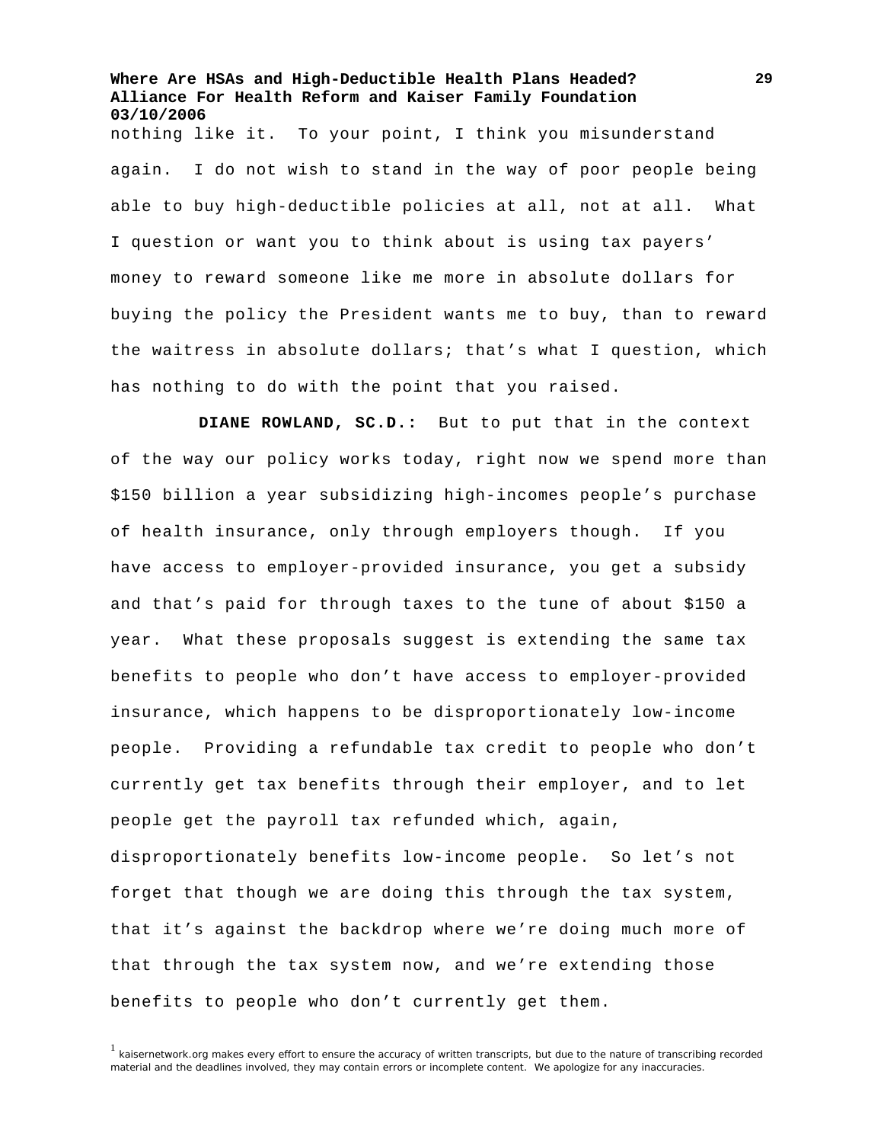**Where Are HSAs and High-Deductible Health Plans Headed? Alliance For Health Reform and Kaiser Family Foundation 03/10/2006**  nothing like it. To your point, I think you misunderstand again. I do not wish to stand in the way of poor people being able to buy high-deductible policies at all, not at all. What I question or want you to think about is using tax payers' money to reward someone like me more in absolute dollars for buying the policy the President wants me to buy, than to reward the waitress in absolute dollars; that's what I question, which

has nothing to do with the point that you raised.

**DIANE ROWLAND, SC.D.:** But to put that in the context of the way our policy works today, right now we spend more than \$150 billion a year subsidizing high-incomes people's purchase of health insurance, only through employers though. If you have access to employer-provided insurance, you get a subsidy and that's paid for through taxes to the tune of about \$150 a year. What these proposals suggest is extending the same tax benefits to people who don't have access to employer-provided insurance, which happens to be disproportionately low-income people. Providing a refundable tax credit to people who don't currently get tax benefits through their employer, and to let people get the payroll tax refunded which, again, disproportionately benefits low-income people. So let's not

forget that though we are doing this through the tax system, that it's against the backdrop where we're doing much more of that through the tax system now, and we're extending those benefits to people who don't currently get them.

 $<sup>1</sup>$  kaisernetwork.org makes every effort to ensure the accuracy of written transcripts, but due to the nature of transcribing recorded</sup> material and the deadlines involved, they may contain errors or incomplete content. We apologize for any inaccuracies.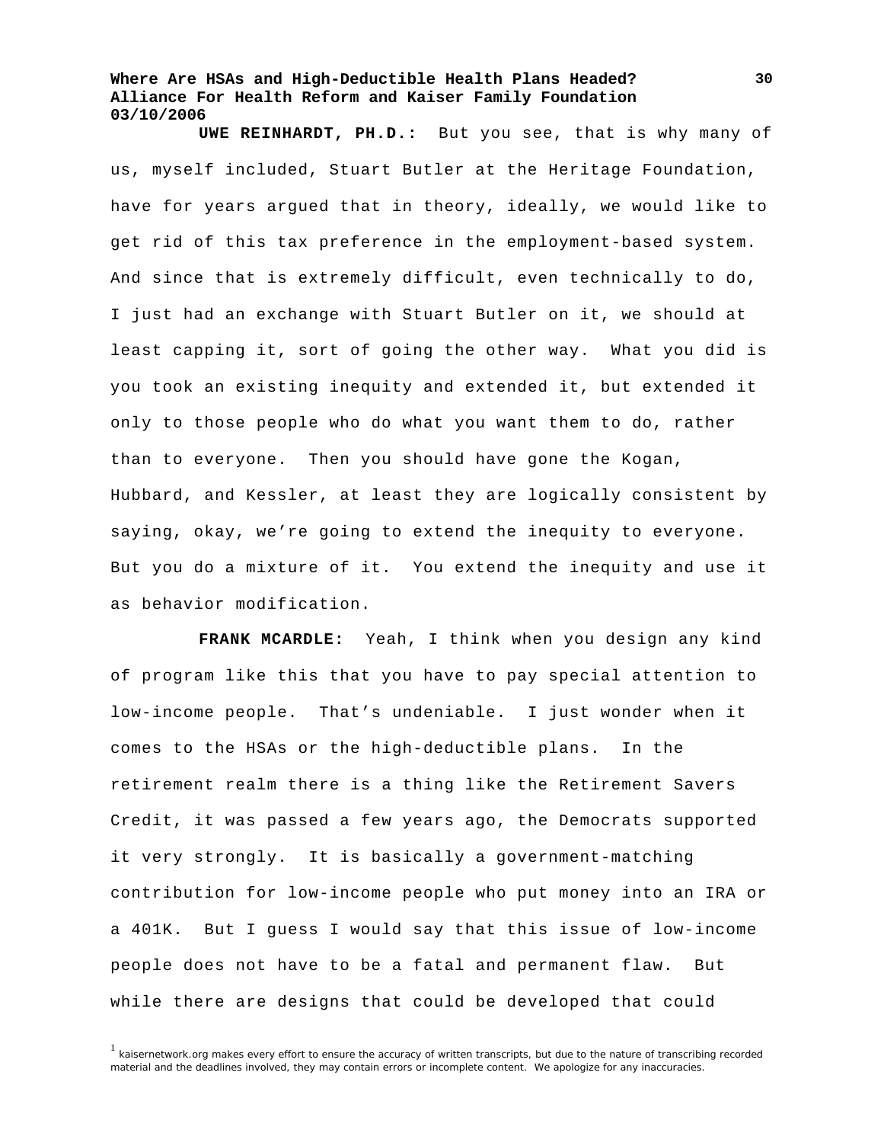**UWE REINHARDT, PH.D.:** But you see, that is why many of us, myself included, Stuart Butler at the Heritage Foundation, have for years argued that in theory, ideally, we would like to get rid of this tax preference in the employment-based system. And since that is extremely difficult, even technically to do, I just had an exchange with Stuart Butler on it, we should at least capping it, sort of going the other way. What you did is you took an existing inequity and extended it, but extended it only to those people who do what you want them to do, rather than to everyone. Then you should have gone the Kogan, Hubbard, and Kessler, at least they are logically consistent by saying, okay, we're going to extend the inequity to everyone. But you do a mixture of it. You extend the inequity and use it as behavior modification.

**FRANK MCARDLE:** Yeah, I think when you design any kind of program like this that you have to pay special attention to low-income people. That's undeniable. I just wonder when it comes to the HSAs or the high-deductible plans. In the retirement realm there is a thing like the Retirement Savers Credit, it was passed a few years ago, the Democrats supported it very strongly. It is basically a government-matching contribution for low-income people who put money into an IRA or a 401K. But I guess I would say that this issue of low-income people does not have to be a fatal and permanent flaw. But while there are designs that could be developed that could

<sup>1</sup> kaisernetwork.org makes every effort to ensure the accuracy of written transcripts, but due to the nature of transcribing recorded material and the deadlines involved, they may contain errors or incomplete content. We apologize for any inaccuracies.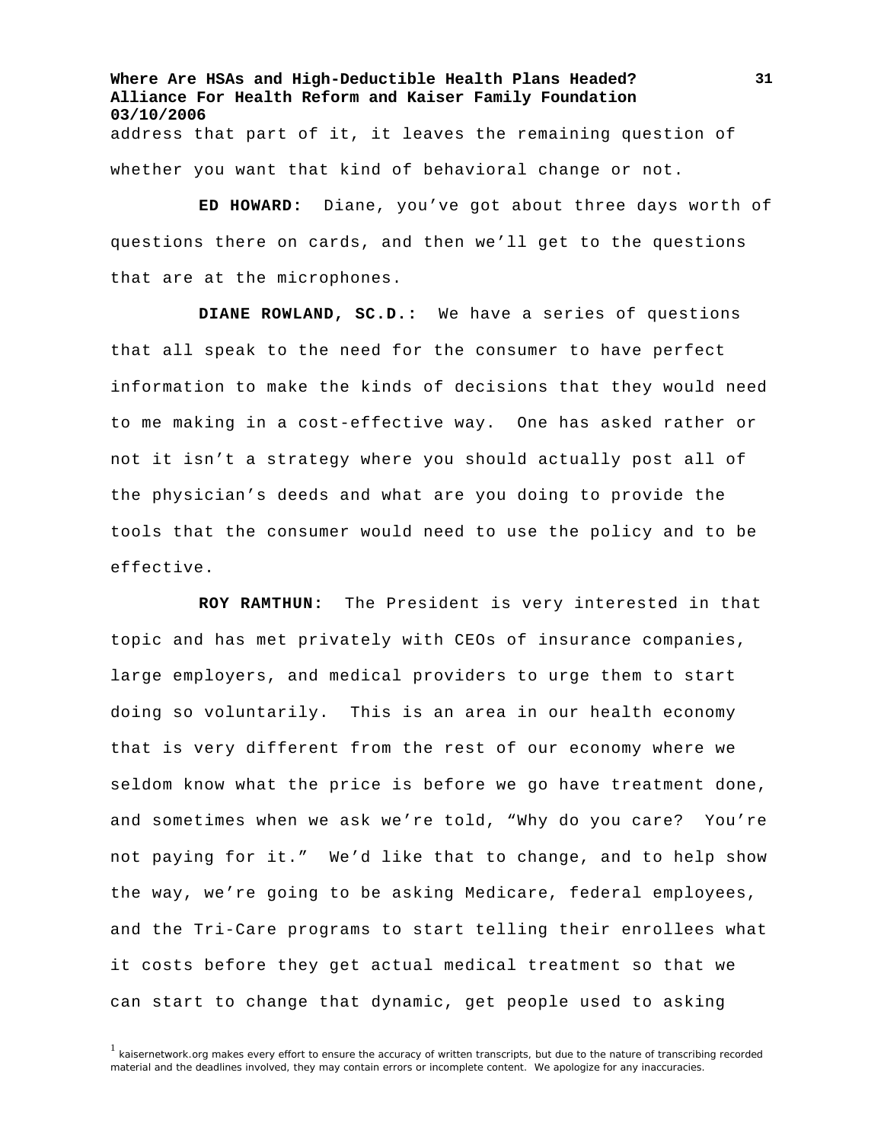**Where Are HSAs and High-Deductible Health Plans Headed? Alliance For Health Reform and Kaiser Family Foundation 03/10/2006**  address that part of it, it leaves the remaining question of whether you want that kind of behavioral change or not.

**ED HOWARD:** Diane, you've got about three days worth of questions there on cards, and then we'll get to the questions that are at the microphones.

**DIANE ROWLAND, SC.D.:** We have a series of questions that all speak to the need for the consumer to have perfect information to make the kinds of decisions that they would need to me making in a cost-effective way. One has asked rather or not it isn't a strategy where you should actually post all of the physician's deeds and what are you doing to provide the tools that the consumer would need to use the policy and to be effective.

**ROY RAMTHUN:** The President is very interested in that topic and has met privately with CEOs of insurance companies, large employers, and medical providers to urge them to start doing so voluntarily. This is an area in our health economy that is very different from the rest of our economy where we seldom know what the price is before we go have treatment done, and sometimes when we ask we're told, "Why do you care? You're not paying for it." We'd like that to change, and to help show the way, we're going to be asking Medicare, federal employees, and the Tri-Care programs to start telling their enrollees what it costs before they get actual medical treatment so that we can start to change that dynamic, get people used to asking

<sup>1</sup> kaisernetwork.org makes every effort to ensure the accuracy of written transcripts, but due to the nature of transcribing recorded material and the deadlines involved, they may contain errors or incomplete content. We apologize for any inaccuracies.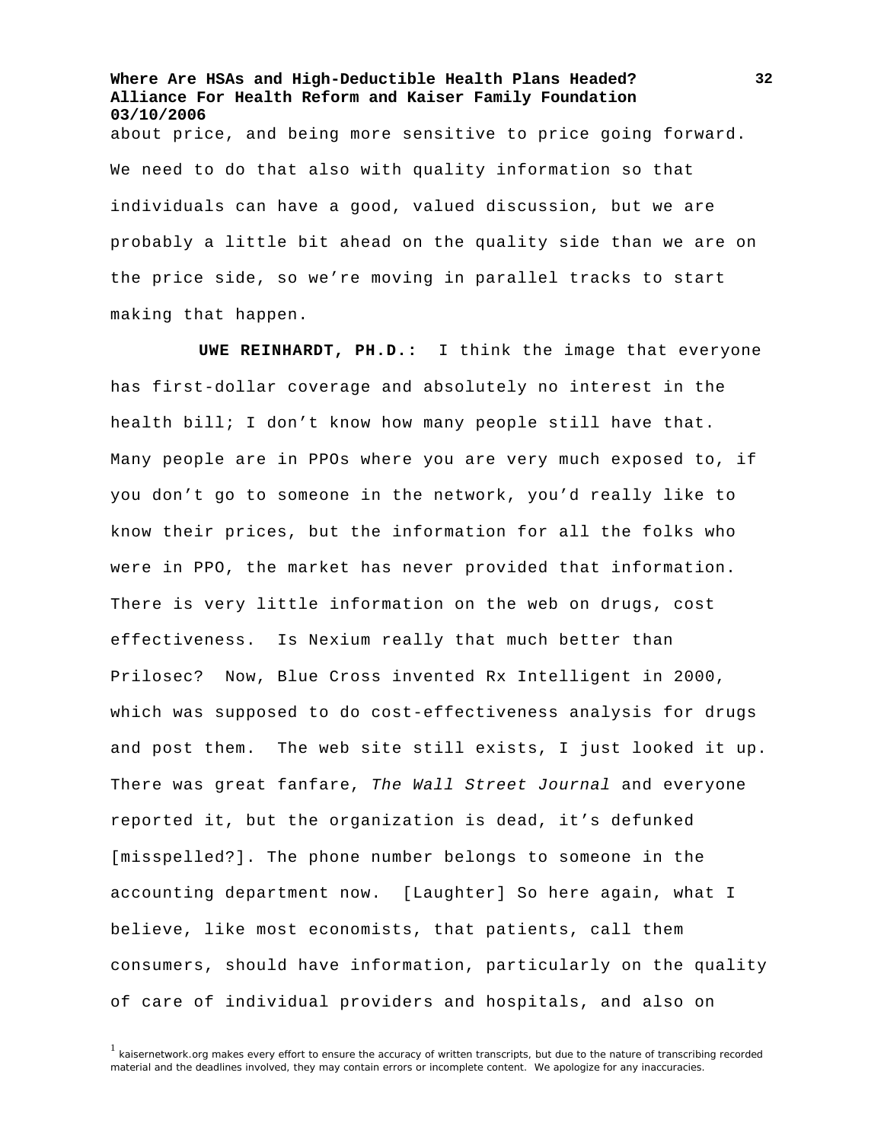**Where Are HSAs and High-Deductible Health Plans Headed? Alliance For Health Reform and Kaiser Family Foundation 03/10/2006**  about price, and being more sensitive to price going forward. We need to do that also with quality information so that individuals can have a good, valued discussion, but we are probably a little bit ahead on the quality side than we are on the price side, so we're moving in parallel tracks to start making that happen.

**UWE REINHARDT, PH.D.:** I think the image that everyone has first-dollar coverage and absolutely no interest in the health bill; I don't know how many people still have that. Many people are in PPOs where you are very much exposed to, if you don't go to someone in the network, you'd really like to know their prices, but the information for all the folks who were in PPO, the market has never provided that information. There is very little information on the web on drugs, cost effectiveness. Is Nexium really that much better than Prilosec? Now, Blue Cross invented Rx Intelligent in 2000, which was supposed to do cost-effectiveness analysis for drugs and post them. The web site still exists, I just looked it up. There was great fanfare, *The Wall Street Journal* and everyone reported it, but the organization is dead, it's defunked [misspelled?]. The phone number belongs to someone in the accounting department now. [Laughter] So here again, what I believe, like most economists, that patients, call them consumers, should have information, particularly on the quality of care of individual providers and hospitals, and also on

 $<sup>1</sup>$  kaisernetwork.org makes every effort to ensure the accuracy of written transcripts, but due to the nature of transcribing recorded</sup> material and the deadlines involved, they may contain errors or incomplete content. We apologize for any inaccuracies.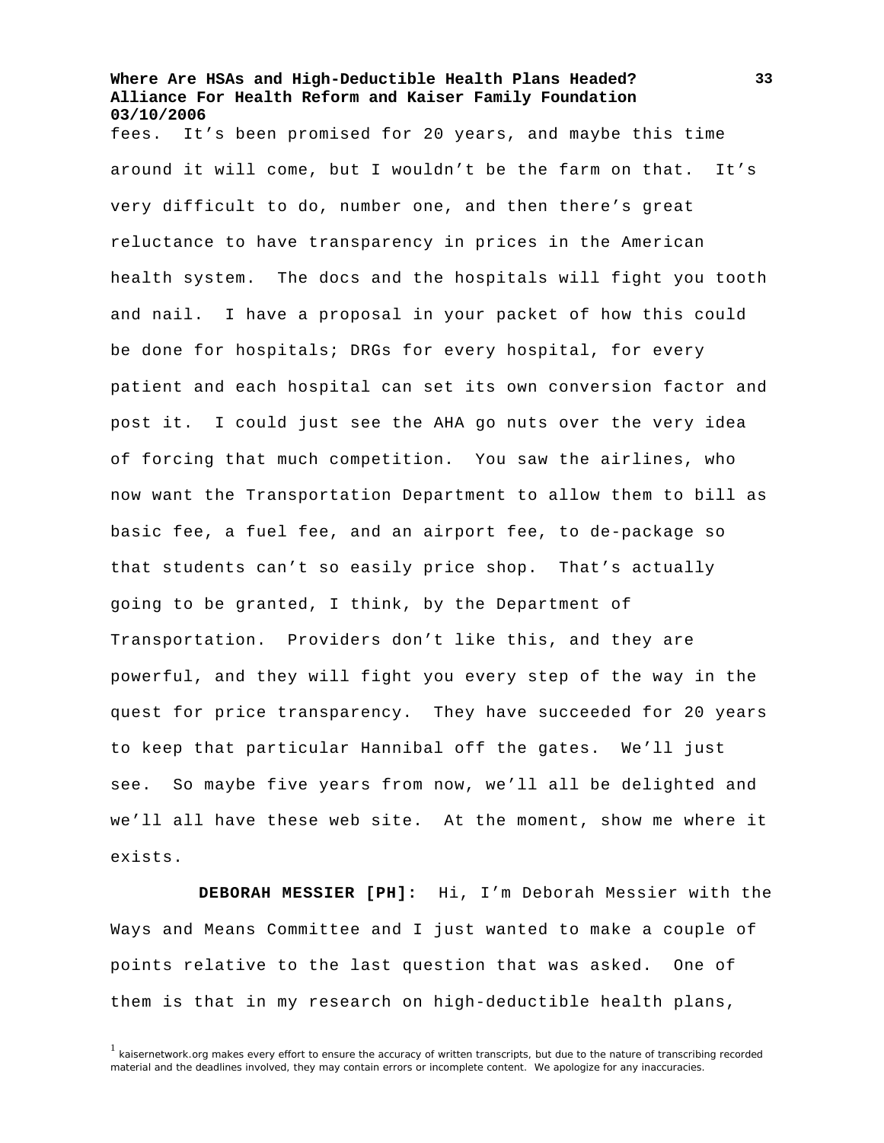fees. It's been promised for 20 years, and maybe this time around it will come, but I wouldn't be the farm on that. It's very difficult to do, number one, and then there's great reluctance to have transparency in prices in the American health system. The docs and the hospitals will fight you tooth and nail. I have a proposal in your packet of how this could be done for hospitals; DRGs for every hospital, for every patient and each hospital can set its own conversion factor and post it. I could just see the AHA go nuts over the very idea of forcing that much competition. You saw the airlines, who now want the Transportation Department to allow them to bill as basic fee, a fuel fee, and an airport fee, to de-package so that students can't so easily price shop. That's actually going to be granted, I think, by the Department of Transportation. Providers don't like this, and they are powerful, and they will fight you every step of the way in the quest for price transparency. They have succeeded for 20 years to keep that particular Hannibal off the gates. We'll just see. So maybe five years from now, we'll all be delighted and we'll all have these web site. At the moment, show me where it exists.

**DEBORAH MESSIER [PH]:** Hi, I'm Deborah Messier with the Ways and Means Committee and I just wanted to make a couple of points relative to the last question that was asked. One of them is that in my research on high-deductible health plans,

 $<sup>1</sup>$  kaisernetwork.org makes every effort to ensure the accuracy of written transcripts, but due to the nature of transcribing recorded</sup> material and the deadlines involved, they may contain errors or incomplete content. We apologize for any inaccuracies.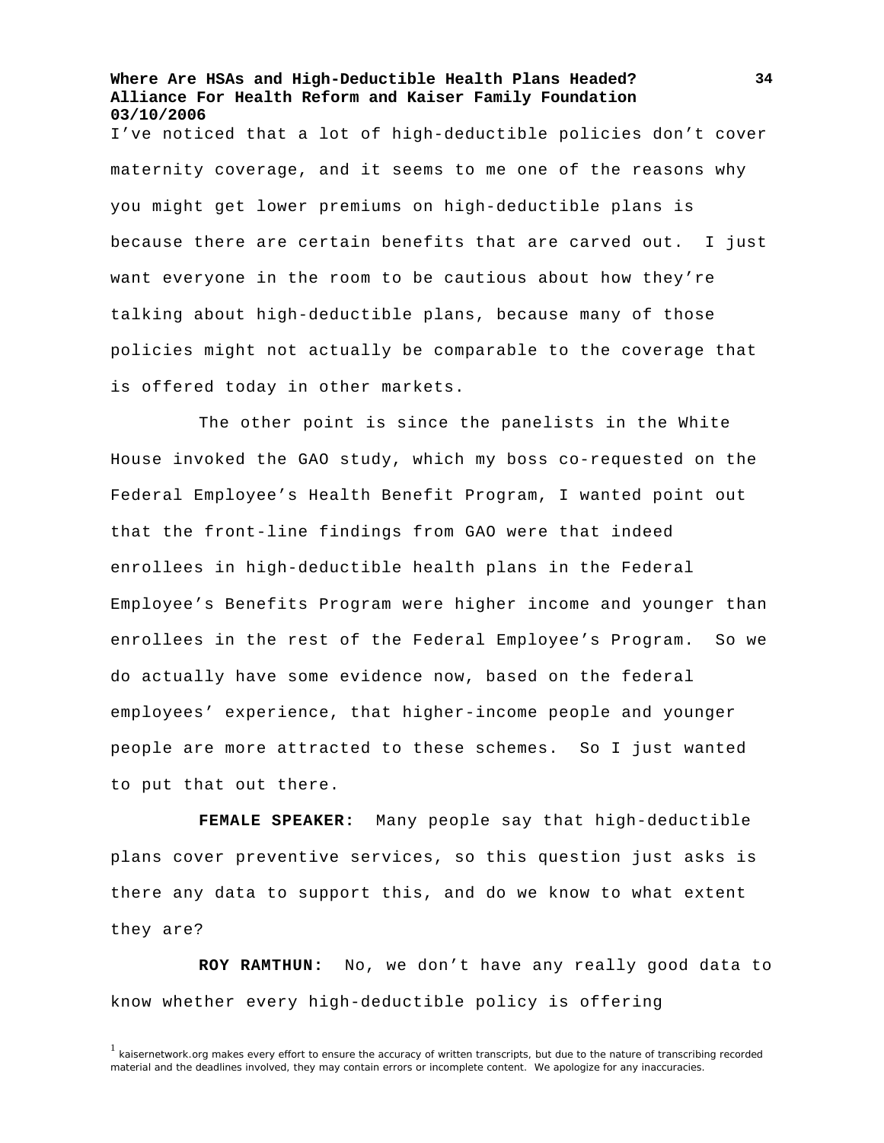I've noticed that a lot of high-deductible policies don't cover maternity coverage, and it seems to me one of the reasons why you might get lower premiums on high-deductible plans is because there are certain benefits that are carved out. I just want everyone in the room to be cautious about how they're talking about high-deductible plans, because many of those policies might not actually be comparable to the coverage that is offered today in other markets.

The other point is since the panelists in the White House invoked the GAO study, which my boss co-requested on the Federal Employee's Health Benefit Program, I wanted point out that the front-line findings from GAO were that indeed enrollees in high-deductible health plans in the Federal Employee's Benefits Program were higher income and younger than enrollees in the rest of the Federal Employee's Program. So we do actually have some evidence now, based on the federal employees' experience, that higher-income people and younger people are more attracted to these schemes. So I just wanted to put that out there.

**FEMALE SPEAKER:** Many people say that high-deductible plans cover preventive services, so this question just asks is there any data to support this, and do we know to what extent they are?

**ROY RAMTHUN:** No, we don't have any really good data to know whether every high-deductible policy is offering

 $1$  kaisernetwork.org makes every effort to ensure the accuracy of written transcripts, but due to the nature of transcribing recorded material and the deadlines involved, they may contain errors or incomplete content. We apologize for any inaccuracies.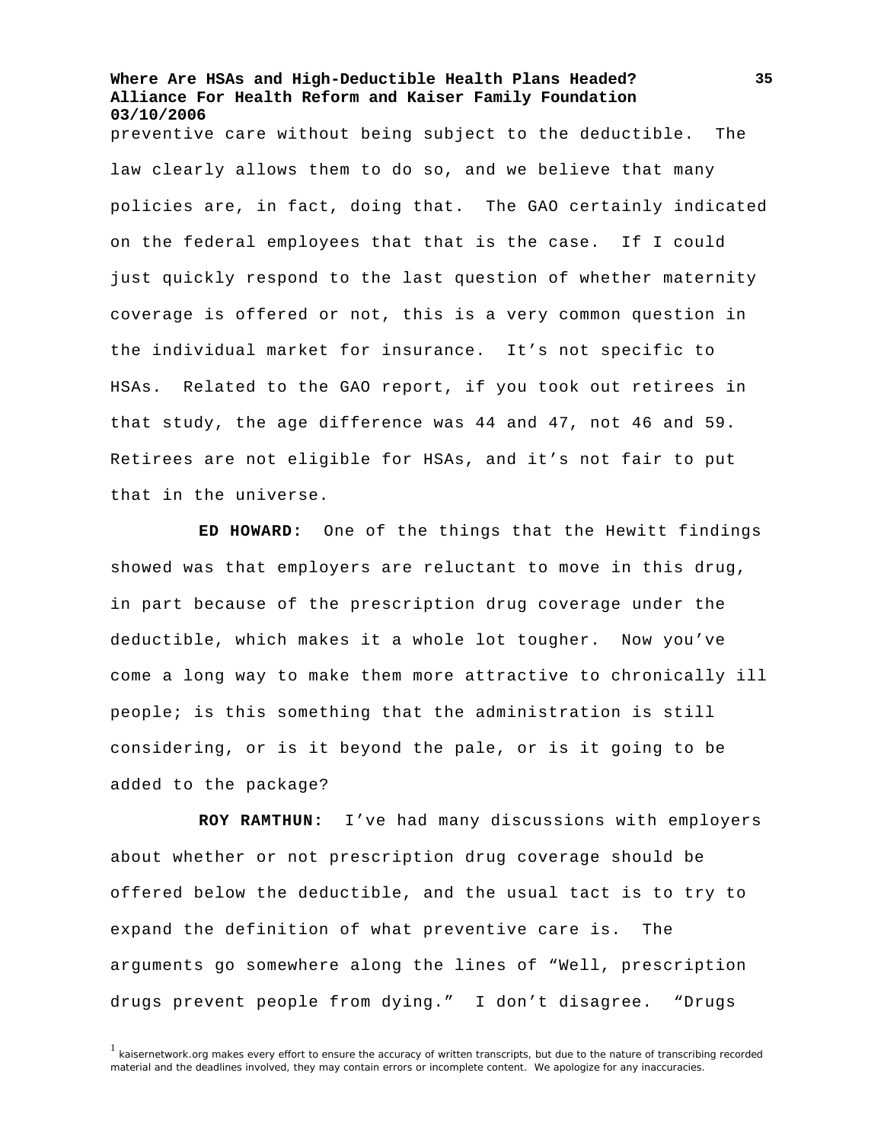preventive care without being subject to the deductible. The law clearly allows them to do so, and we believe that many policies are, in fact, doing that. The GAO certainly indicated on the federal employees that that is the case. If I could just quickly respond to the last question of whether maternity coverage is offered or not, this is a very common question in the individual market for insurance. It's not specific to HSAs. Related to the GAO report, if you took out retirees in that study, the age difference was 44 and 47, not 46 and 59. Retirees are not eligible for HSAs, and it's not fair to put that in the universe.

**ED HOWARD:** One of the things that the Hewitt findings showed was that employers are reluctant to move in this drug, in part because of the prescription drug coverage under the deductible, which makes it a whole lot tougher. Now you've come a long way to make them more attractive to chronically ill people; is this something that the administration is still considering, or is it beyond the pale, or is it going to be added to the package?

**ROY RAMTHUN:** I've had many discussions with employers about whether or not prescription drug coverage should be offered below the deductible, and the usual tact is to try to expand the definition of what preventive care is. The arguments go somewhere along the lines of "Well, prescription drugs prevent people from dying." I don't disagree. "Drugs

 $1$  kaisernetwork.org makes every effort to ensure the accuracy of written transcripts, but due to the nature of transcribing recorded material and the deadlines involved, they may contain errors or incomplete content. We apologize for any inaccuracies.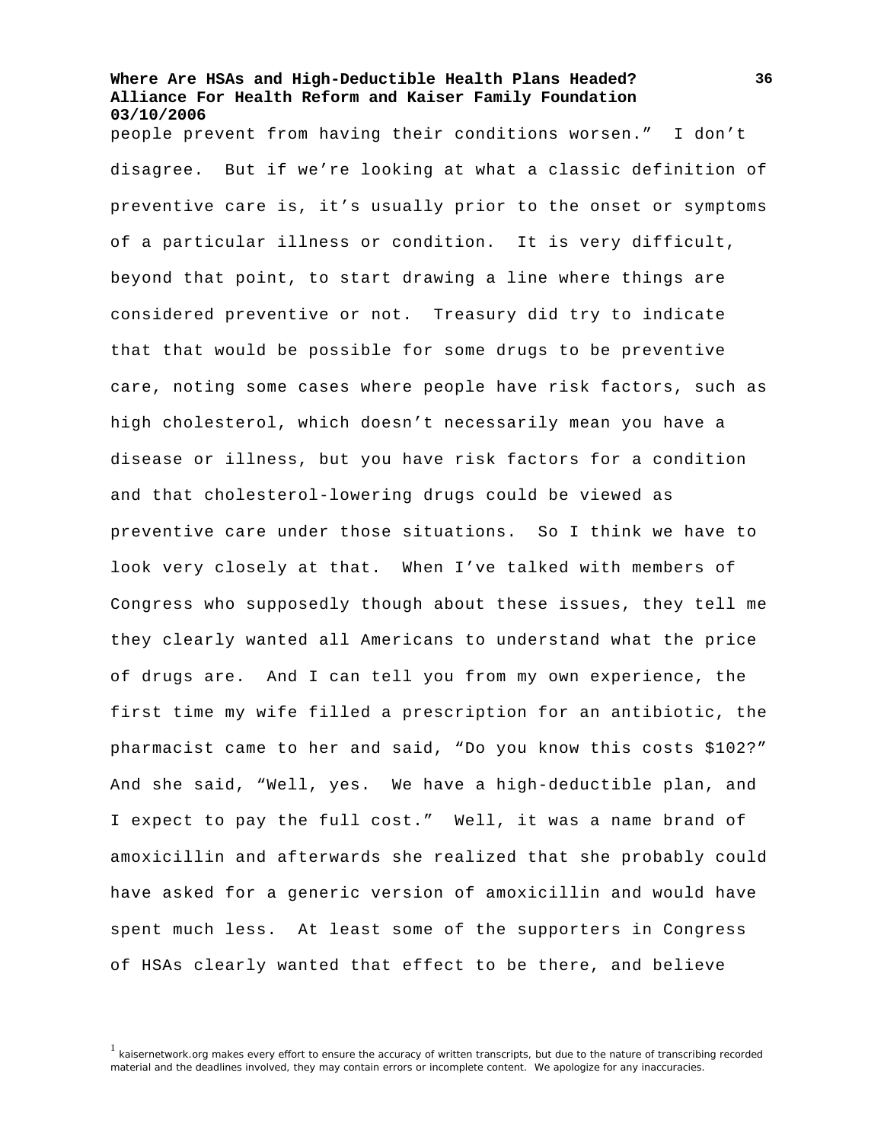people prevent from having their conditions worsen." I don't disagree. But if we're looking at what a classic definition of preventive care is, it's usually prior to the onset or symptoms of a particular illness or condition. It is very difficult, beyond that point, to start drawing a line where things are considered preventive or not. Treasury did try to indicate that that would be possible for some drugs to be preventive care, noting some cases where people have risk factors, such as high cholesterol, which doesn't necessarily mean you have a disease or illness, but you have risk factors for a condition and that cholesterol-lowering drugs could be viewed as preventive care under those situations. So I think we have to look very closely at that. When I've talked with members of Congress who supposedly though about these issues, they tell me they clearly wanted all Americans to understand what the price of drugs are. And I can tell you from my own experience, the first time my wife filled a prescription for an antibiotic, the pharmacist came to her and said, "Do you know this costs \$102?" And she said, "Well, yes. We have a high-deductible plan, and I expect to pay the full cost." Well, it was a name brand of amoxicillin and afterwards she realized that she probably could have asked for a generic version of amoxicillin and would have spent much less. At least some of the supporters in Congress of HSAs clearly wanted that effect to be there, and believe

<sup>&</sup>lt;sup>1</sup> kaisernetwork.org makes every effort to ensure the accuracy of written transcripts, but due to the nature of transcribing recorded material and the deadlines involved, they may contain errors or incomplete content. We apologize for any inaccuracies.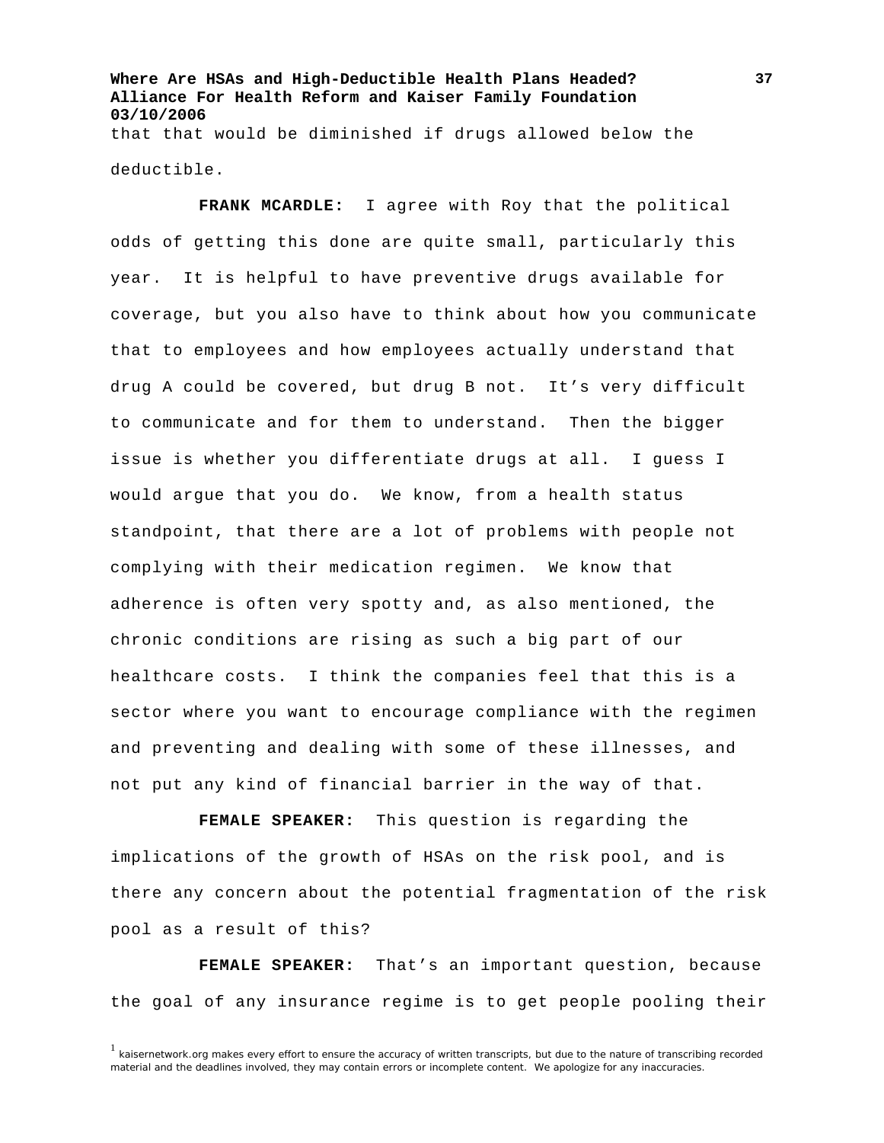**Where Are HSAs and High-Deductible Health Plans Headed? Alliance For Health Reform and Kaiser Family Foundation 03/10/2006**  that that would be diminished if drugs allowed below the

deductible.

**FRANK MCARDLE:** I agree with Roy that the political odds of getting this done are quite small, particularly this year. It is helpful to have preventive drugs available for coverage, but you also have to think about how you communicate that to employees and how employees actually understand that drug A could be covered, but drug B not. It's very difficult to communicate and for them to understand. Then the bigger issue is whether you differentiate drugs at all. I guess I would argue that you do. We know, from a health status standpoint, that there are a lot of problems with people not complying with their medication regimen. We know that adherence is often very spotty and, as also mentioned, the chronic conditions are rising as such a big part of our healthcare costs. I think the companies feel that this is a sector where you want to encourage compliance with the regimen and preventing and dealing with some of these illnesses, and not put any kind of financial barrier in the way of that.

**FEMALE SPEAKER:** This question is regarding the implications of the growth of HSAs on the risk pool, and is there any concern about the potential fragmentation of the risk pool as a result of this?

**FEMALE SPEAKER:** That's an important question, because the goal of any insurance regime is to get people pooling their

 $1$  kaisernetwork.org makes every effort to ensure the accuracy of written transcripts, but due to the nature of transcribing recorded material and the deadlines involved, they may contain errors or incomplete content. We apologize for any inaccuracies.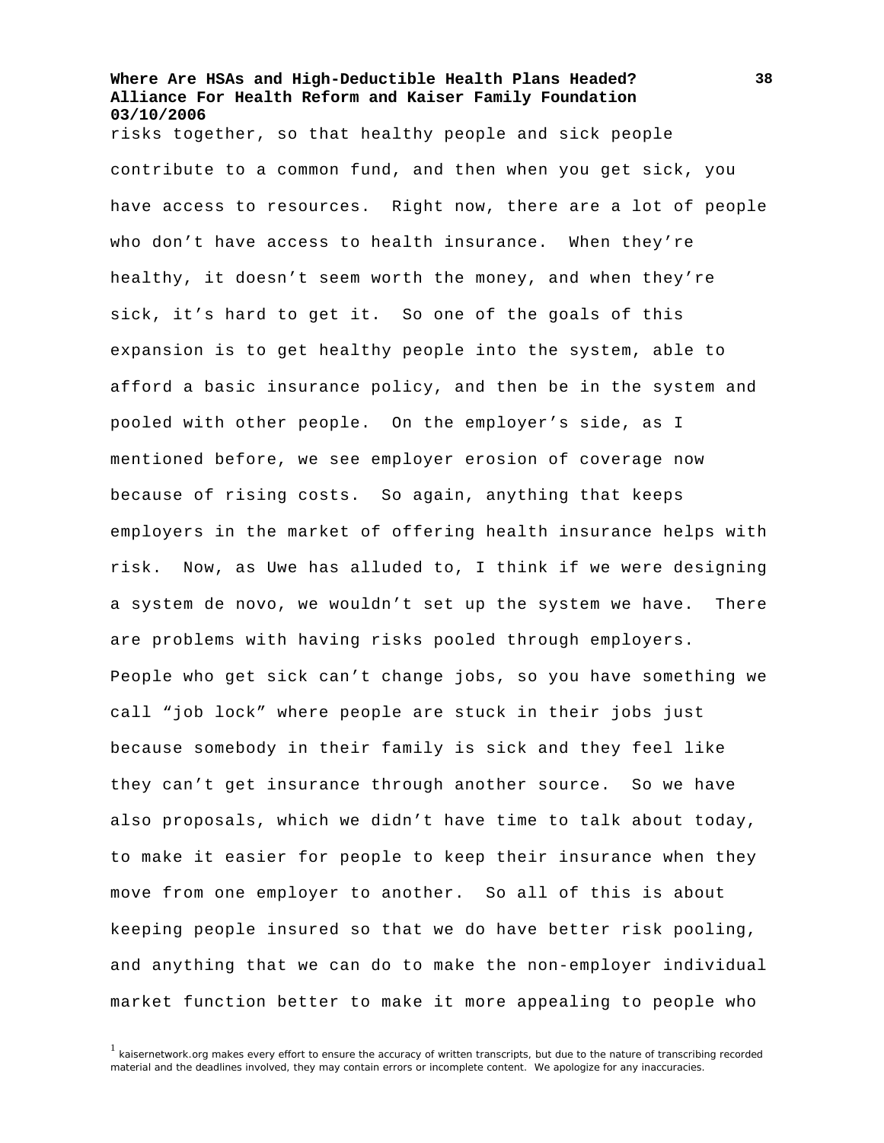risks together, so that healthy people and sick people contribute to a common fund, and then when you get sick, you have access to resources. Right now, there are a lot of people who don't have access to health insurance. When they're healthy, it doesn't seem worth the money, and when they're sick, it's hard to get it. So one of the goals of this expansion is to get healthy people into the system, able to afford a basic insurance policy, and then be in the system and pooled with other people. On the employer's side, as I mentioned before, we see employer erosion of coverage now because of rising costs. So again, anything that keeps employers in the market of offering health insurance helps with risk. Now, as Uwe has alluded to, I think if we were designing a system de novo, we wouldn't set up the system we have. There are problems with having risks pooled through employers. People who get sick can't change jobs, so you have something we call "job lock" where people are stuck in their jobs just because somebody in their family is sick and they feel like they can't get insurance through another source. So we have also proposals, which we didn't have time to talk about today, to make it easier for people to keep their insurance when they move from one employer to another. So all of this is about keeping people insured so that we do have better risk pooling, and anything that we can do to make the non-employer individual market function better to make it more appealing to people who

 $1$  kaisernetwork.org makes every effort to ensure the accuracy of written transcripts, but due to the nature of transcribing recorded material and the deadlines involved, they may contain errors or incomplete content. We apologize for any inaccuracies.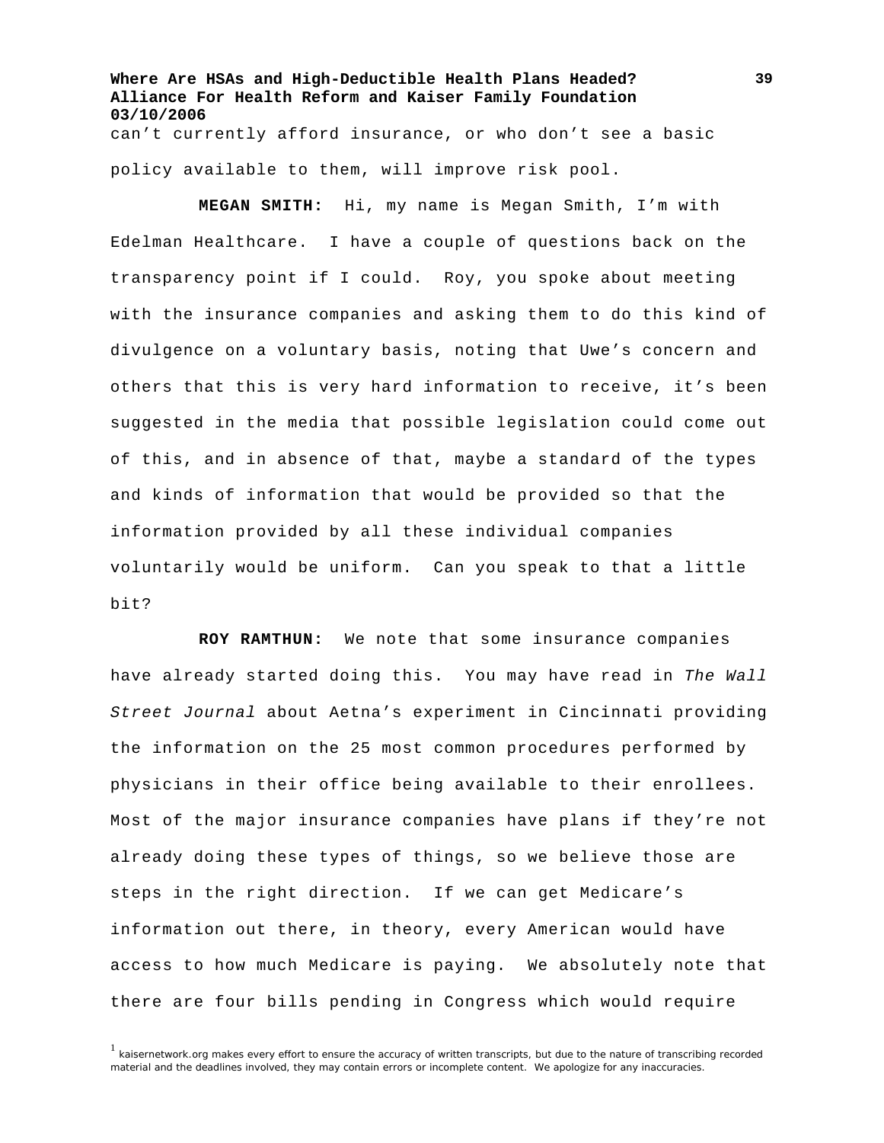**Where Are HSAs and High-Deductible Health Plans Headed? Alliance For Health Reform and Kaiser Family Foundation 03/10/2006**  can't currently afford insurance, or who don't see a basic policy available to them, will improve risk pool.

**MEGAN SMITH:** Hi, my name is Megan Smith, I'm with Edelman Healthcare. I have a couple of questions back on the transparency point if I could. Roy, you spoke about meeting with the insurance companies and asking them to do this kind of divulgence on a voluntary basis, noting that Uwe's concern and others that this is very hard information to receive, it's been suggested in the media that possible legislation could come out of this, and in absence of that, maybe a standard of the types and kinds of information that would be provided so that the information provided by all these individual companies voluntarily would be uniform. Can you speak to that a little bit?

**ROY RAMTHUN:** We note that some insurance companies have already started doing this. You may have read in *The Wall Street Journal* about Aetna's experiment in Cincinnati providing the information on the 25 most common procedures performed by physicians in their office being available to their enrollees. Most of the major insurance companies have plans if they're not already doing these types of things, so we believe those are steps in the right direction. If we can get Medicare's information out there, in theory, every American would have access to how much Medicare is paying. We absolutely note that there are four bills pending in Congress which would require

 $<sup>1</sup>$  kaisernetwork.org makes every effort to ensure the accuracy of written transcripts, but due to the nature of transcribing recorded</sup> material and the deadlines involved, they may contain errors or incomplete content. We apologize for any inaccuracies.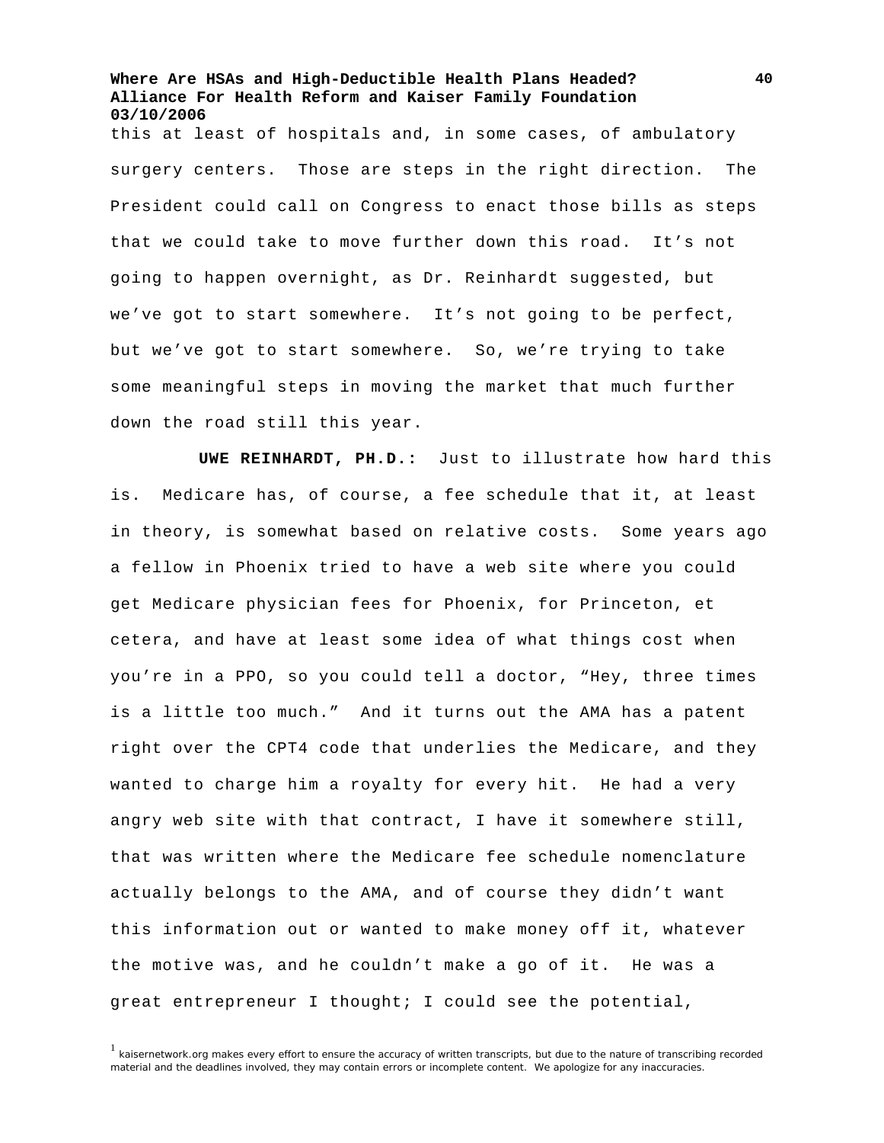this at least of hospitals and, in some cases, of ambulatory surgery centers. Those are steps in the right direction. The President could call on Congress to enact those bills as steps that we could take to move further down this road. It's not going to happen overnight, as Dr. Reinhardt suggested, but we've got to start somewhere. It's not going to be perfect, but we've got to start somewhere. So, we're trying to take some meaningful steps in moving the market that much further down the road still this year.

**UWE REINHARDT, PH.D.:** Just to illustrate how hard this is. Medicare has, of course, a fee schedule that it, at least in theory, is somewhat based on relative costs. Some years ago a fellow in Phoenix tried to have a web site where you could get Medicare physician fees for Phoenix, for Princeton, et cetera, and have at least some idea of what things cost when you're in a PPO, so you could tell a doctor, "Hey, three times is a little too much." And it turns out the AMA has a patent right over the CPT4 code that underlies the Medicare, and they wanted to charge him a royalty for every hit. He had a very angry web site with that contract, I have it somewhere still, that was written where the Medicare fee schedule nomenclature actually belongs to the AMA, and of course they didn't want this information out or wanted to make money off it, whatever the motive was, and he couldn't make a go of it. He was a great entrepreneur I thought; I could see the potential,

<sup>1</sup> kaisernetwork.org makes every effort to ensure the accuracy of written transcripts, but due to the nature of transcribing recorded material and the deadlines involved, they may contain errors or incomplete content. We apologize for any inaccuracies.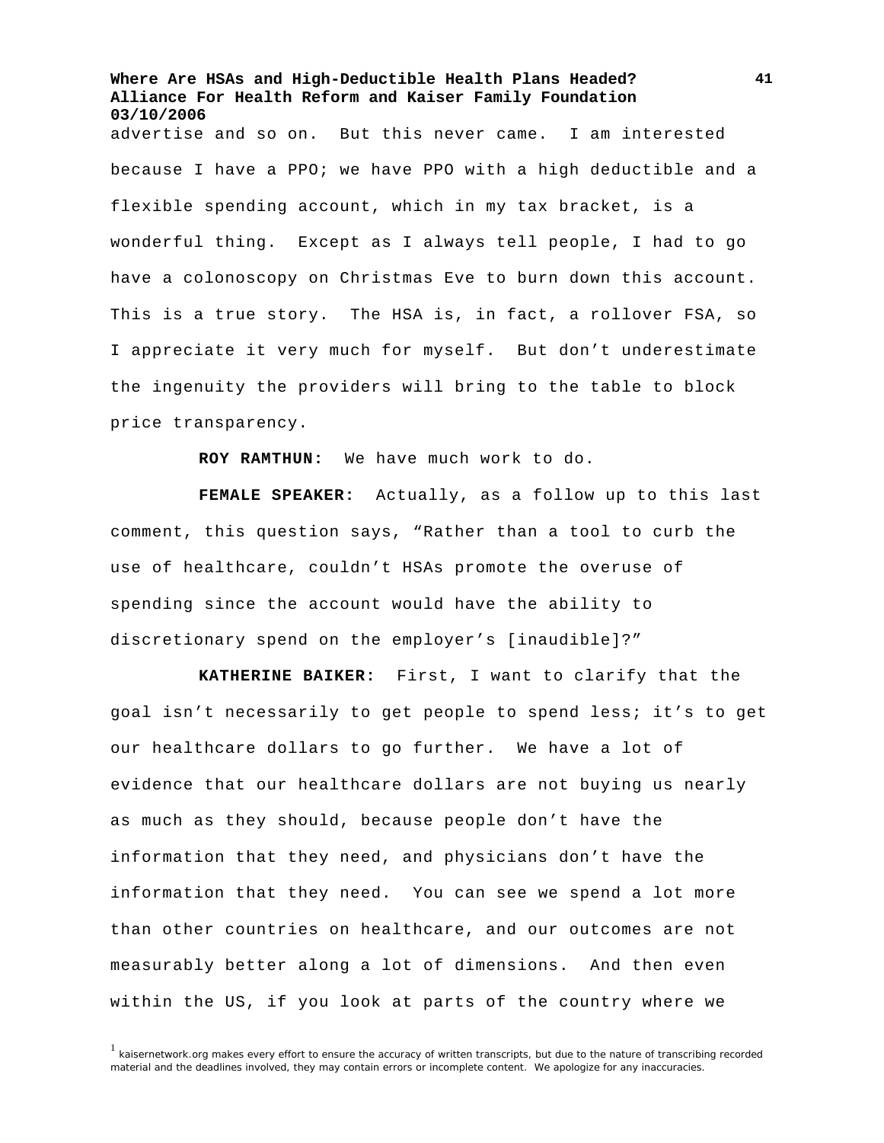**Where Are HSAs and High-Deductible Health Plans Headed? Alliance For Health Reform and Kaiser Family Foundation 03/10/2006**  advertise and so on. But this never came. I am interested because I have a PPO; we have PPO with a high deductible and a flexible spending account, which in my tax bracket, is a wonderful thing. Except as I always tell people, I had to go have a colonoscopy on Christmas Eve to burn down this account. This is a true story. The HSA is, in fact, a rollover FSA, so I appreciate it very much for myself. But don't underestimate the ingenuity the providers will bring to the table to block price transparency.

**ROY RAMTHUN:** We have much work to do.

**FEMALE SPEAKER:** Actually, as a follow up to this last comment, this question says, "Rather than a tool to curb the use of healthcare, couldn't HSAs promote the overuse of spending since the account would have the ability to discretionary spend on the employer's [inaudible]?"

**KATHERINE BAIKER:** First, I want to clarify that the goal isn't necessarily to get people to spend less; it's to get our healthcare dollars to go further. We have a lot of evidence that our healthcare dollars are not buying us nearly as much as they should, because people don't have the information that they need, and physicians don't have the information that they need. You can see we spend a lot more than other countries on healthcare, and our outcomes are not measurably better along a lot of dimensions. And then even within the US, if you look at parts of the country where we

<sup>1</sup> kaisernetwork.org makes every effort to ensure the accuracy of written transcripts, but due to the nature of transcribing recorded material and the deadlines involved, they may contain errors or incomplete content. We apologize for any inaccuracies.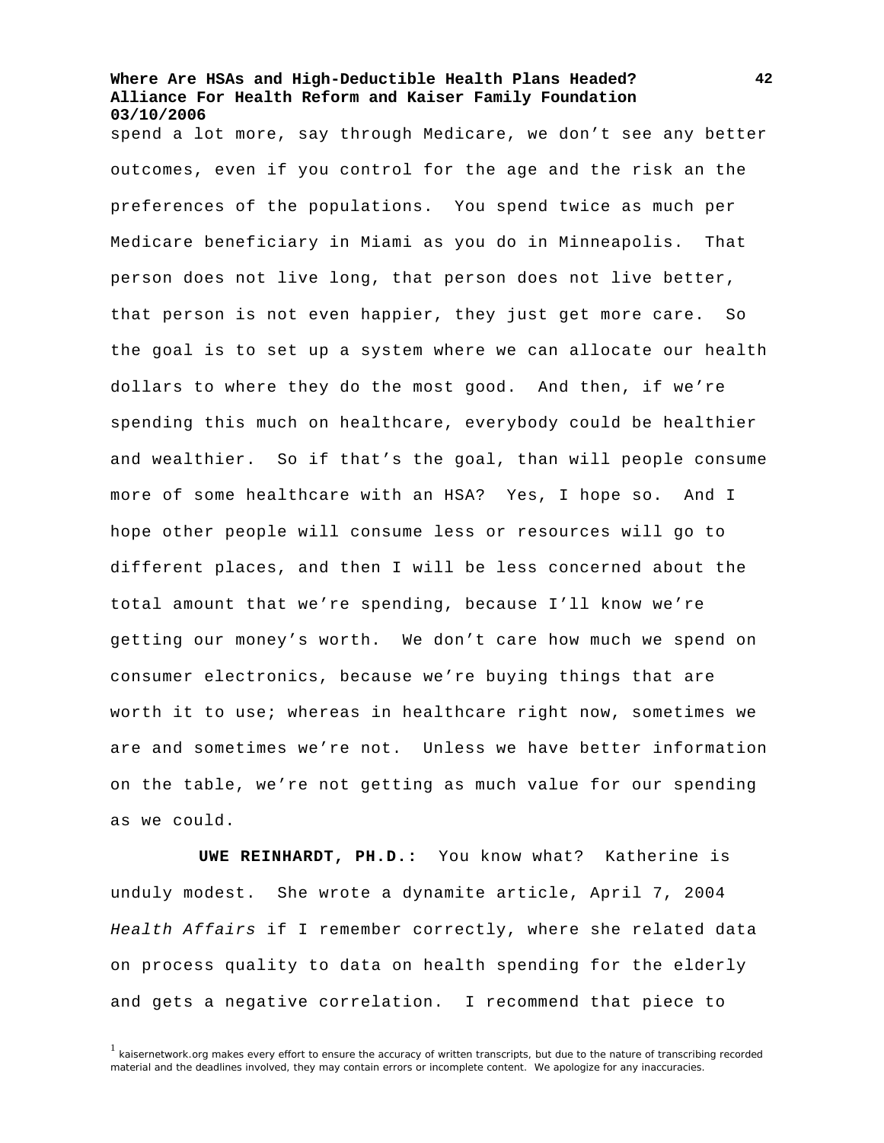spend a lot more, say through Medicare, we don't see any better outcomes, even if you control for the age and the risk an the preferences of the populations. You spend twice as much per Medicare beneficiary in Miami as you do in Minneapolis. That person does not live long, that person does not live better, that person is not even happier, they just get more care. So the goal is to set up a system where we can allocate our health dollars to where they do the most good. And then, if we're spending this much on healthcare, everybody could be healthier and wealthier. So if that's the goal, than will people consume more of some healthcare with an HSA? Yes, I hope so. And I hope other people will consume less or resources will go to different places, and then I will be less concerned about the total amount that we're spending, because I'll know we're getting our money's worth. We don't care how much we spend on consumer electronics, because we're buying things that are worth it to use; whereas in healthcare right now, sometimes we are and sometimes we're not. Unless we have better information on the table, we're not getting as much value for our spending as we could.

**UWE REINHARDT, PH.D.:** You know what? Katherine is unduly modest. She wrote a dynamite article, April 7, 2004 *Health Affairs* if I remember correctly, where she related data on process quality to data on health spending for the elderly and gets a negative correlation. I recommend that piece to

 $<sup>1</sup>$  kaisernetwork.org makes every effort to ensure the accuracy of written transcripts, but due to the nature of transcribing recorded</sup> material and the deadlines involved, they may contain errors or incomplete content. We apologize for any inaccuracies.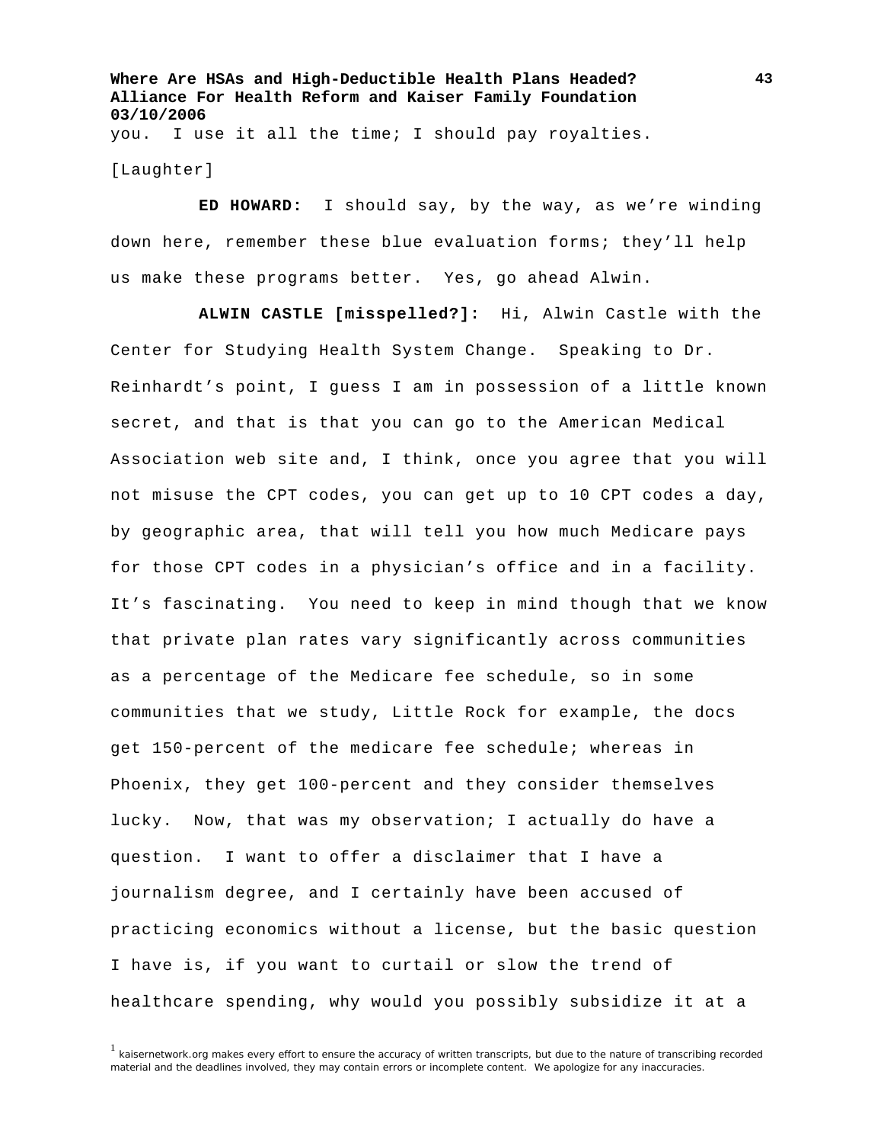**Where Are HSAs and High-Deductible Health Plans Headed? Alliance For Health Reform and Kaiser Family Foundation 03/10/2006**  you. I use it all the time; I should pay royalties.

[Laughter]

**ED HOWARD:** I should say, by the way, as we're winding down here, remember these blue evaluation forms; they'll help us make these programs better. Yes, go ahead Alwin.

**ALWIN CASTLE [misspelled?]:** Hi, Alwin Castle with the Center for Studying Health System Change. Speaking to Dr. Reinhardt's point, I guess I am in possession of a little known secret, and that is that you can go to the American Medical Association web site and, I think, once you agree that you will not misuse the CPT codes, you can get up to 10 CPT codes a day, by geographic area, that will tell you how much Medicare pays for those CPT codes in a physician's office and in a facility. It's fascinating. You need to keep in mind though that we know that private plan rates vary significantly across communities as a percentage of the Medicare fee schedule, so in some communities that we study, Little Rock for example, the docs get 150-percent of the medicare fee schedule; whereas in Phoenix, they get 100-percent and they consider themselves lucky. Now, that was my observation; I actually do have a question. I want to offer a disclaimer that I have a journalism degree, and I certainly have been accused of practicing economics without a license, but the basic question I have is, if you want to curtail or slow the trend of healthcare spending, why would you possibly subsidize it at a

 $<sup>1</sup>$  kaisernetwork.org makes every effort to ensure the accuracy of written transcripts, but due to the nature of transcribing recorded</sup> material and the deadlines involved, they may contain errors or incomplete content. We apologize for any inaccuracies.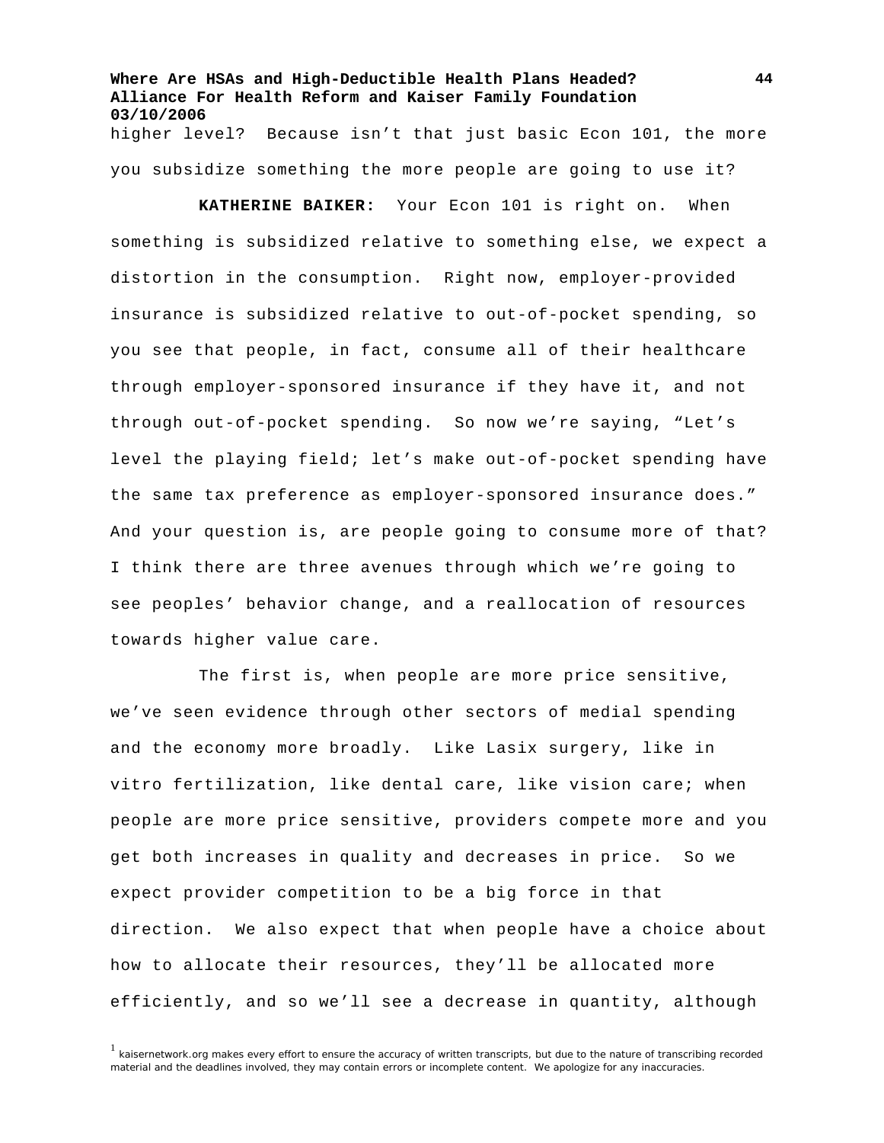**Where Are HSAs and High-Deductible Health Plans Headed? Alliance For Health Reform and Kaiser Family Foundation 03/10/2006**  higher level? Because isn't that just basic Econ 101, the more

you subsidize something the more people are going to use it?

**KATHERINE BAIKER:** Your Econ 101 is right on. When something is subsidized relative to something else, we expect a distortion in the consumption. Right now, employer-provided insurance is subsidized relative to out-of-pocket spending, so you see that people, in fact, consume all of their healthcare through employer-sponsored insurance if they have it, and not through out-of-pocket spending. So now we're saying, "Let's level the playing field; let's make out-of-pocket spending have the same tax preference as employer-sponsored insurance does." And your question is, are people going to consume more of that? I think there are three avenues through which we're going to see peoples' behavior change, and a reallocation of resources towards higher value care.

The first is, when people are more price sensitive, we've seen evidence through other sectors of medial spending and the economy more broadly. Like Lasix surgery, like in vitro fertilization, like dental care, like vision care; when people are more price sensitive, providers compete more and you get both increases in quality and decreases in price. So we expect provider competition to be a big force in that direction. We also expect that when people have a choice about how to allocate their resources, they'll be allocated more efficiently, and so we'll see a decrease in quantity, although

<sup>1</sup> kaisernetwork.org makes every effort to ensure the accuracy of written transcripts, but due to the nature of transcribing recorded material and the deadlines involved, they may contain errors or incomplete content. We apologize for any inaccuracies.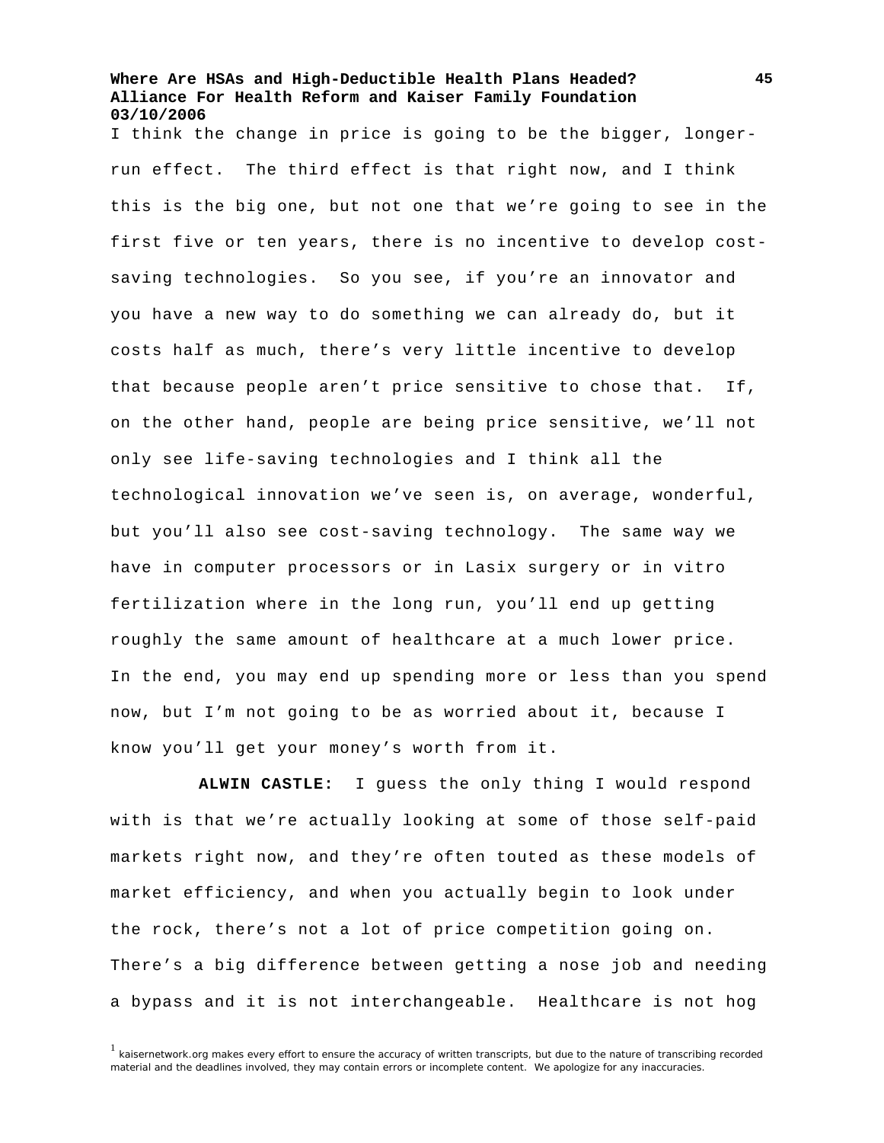I think the change in price is going to be the bigger, longerrun effect. The third effect is that right now, and I think this is the big one, but not one that we're going to see in the first five or ten years, there is no incentive to develop costsaving technologies. So you see, if you're an innovator and you have a new way to do something we can already do, but it costs half as much, there's very little incentive to develop that because people aren't price sensitive to chose that. If, on the other hand, people are being price sensitive, we'll not only see life-saving technologies and I think all the technological innovation we've seen is, on average, wonderful, but you'll also see cost-saving technology. The same way we have in computer processors or in Lasix surgery or in vitro fertilization where in the long run, you'll end up getting roughly the same amount of healthcare at a much lower price. In the end, you may end up spending more or less than you spend now, but I'm not going to be as worried about it, because I know you'll get your money's worth from it.

**ALWIN CASTLE:** I guess the only thing I would respond with is that we're actually looking at some of those self-paid markets right now, and they're often touted as these models of market efficiency, and when you actually begin to look under the rock, there's not a lot of price competition going on. There's a big difference between getting a nose job and needing a bypass and it is not interchangeable. Healthcare is not hog

 $1$  kaisernetwork.org makes every effort to ensure the accuracy of written transcripts, but due to the nature of transcribing recorded material and the deadlines involved, they may contain errors or incomplete content. We apologize for any inaccuracies.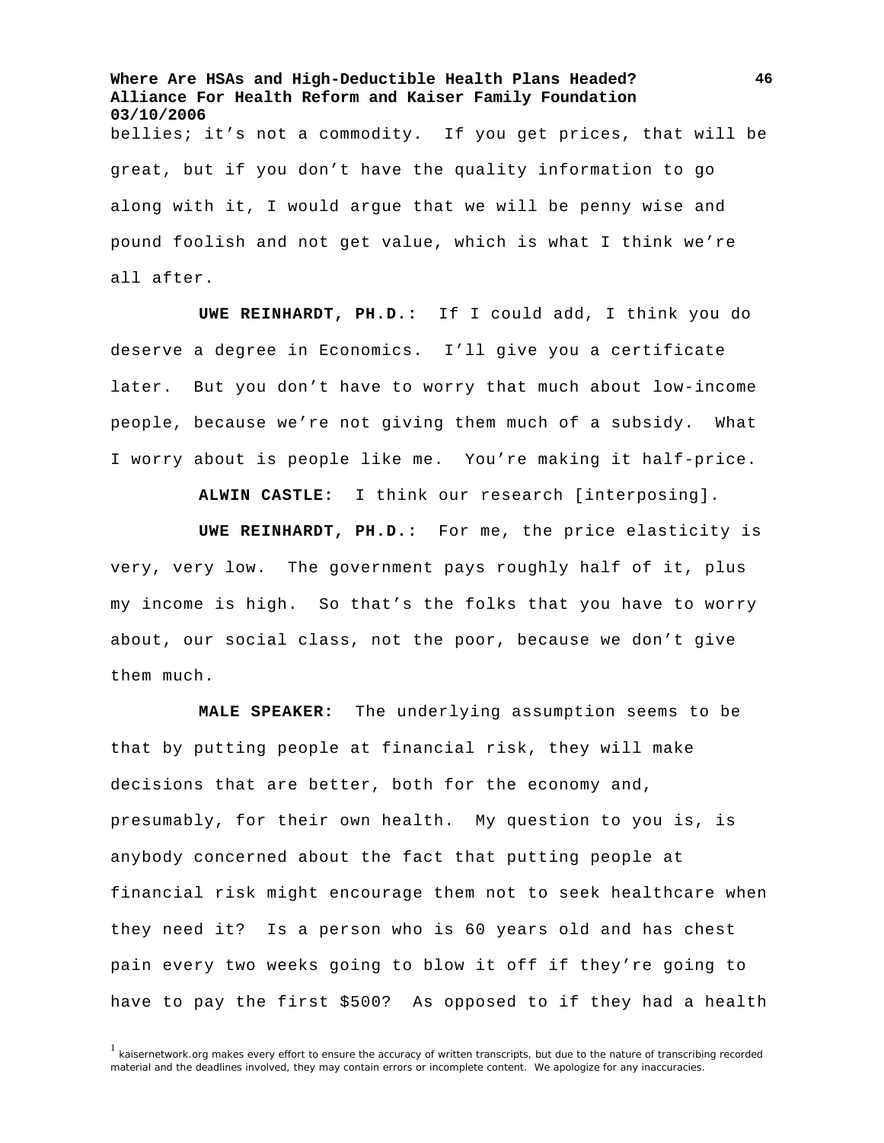**Where Are HSAs and High-Deductible Health Plans Headed? Alliance For Health Reform and Kaiser Family Foundation 03/10/2006**  bellies; it's not a commodity. If you get prices, that will be great, but if you don't have the quality information to go along with it, I would argue that we will be penny wise and pound foolish and not get value, which is what I think we're all after.

**UWE REINHARDT, PH.D.:** If I could add, I think you do deserve a degree in Economics. I'll give you a certificate later. But you don't have to worry that much about low-income people, because we're not giving them much of a subsidy. What I worry about is people like me. You're making it half-price.

**ALWIN CASTLE:** I think our research [interposing].

**UWE REINHARDT, PH.D.:** For me, the price elasticity is very, very low. The government pays roughly half of it, plus my income is high. So that's the folks that you have to worry about, our social class, not the poor, because we don't give them much.

**MALE SPEAKER:** The underlying assumption seems to be that by putting people at financial risk, they will make decisions that are better, both for the economy and, presumably, for their own health. My question to you is, is anybody concerned about the fact that putting people at financial risk might encourage them not to seek healthcare when they need it? Is a person who is 60 years old and has chest pain every two weeks going to blow it off if they're going to have to pay the first \$500? As opposed to if they had a health

 $1$  kaisernetwork.org makes every effort to ensure the accuracy of written transcripts, but due to the nature of transcribing recorded material and the deadlines involved, they may contain errors or incomplete content. We apologize for any inaccuracies.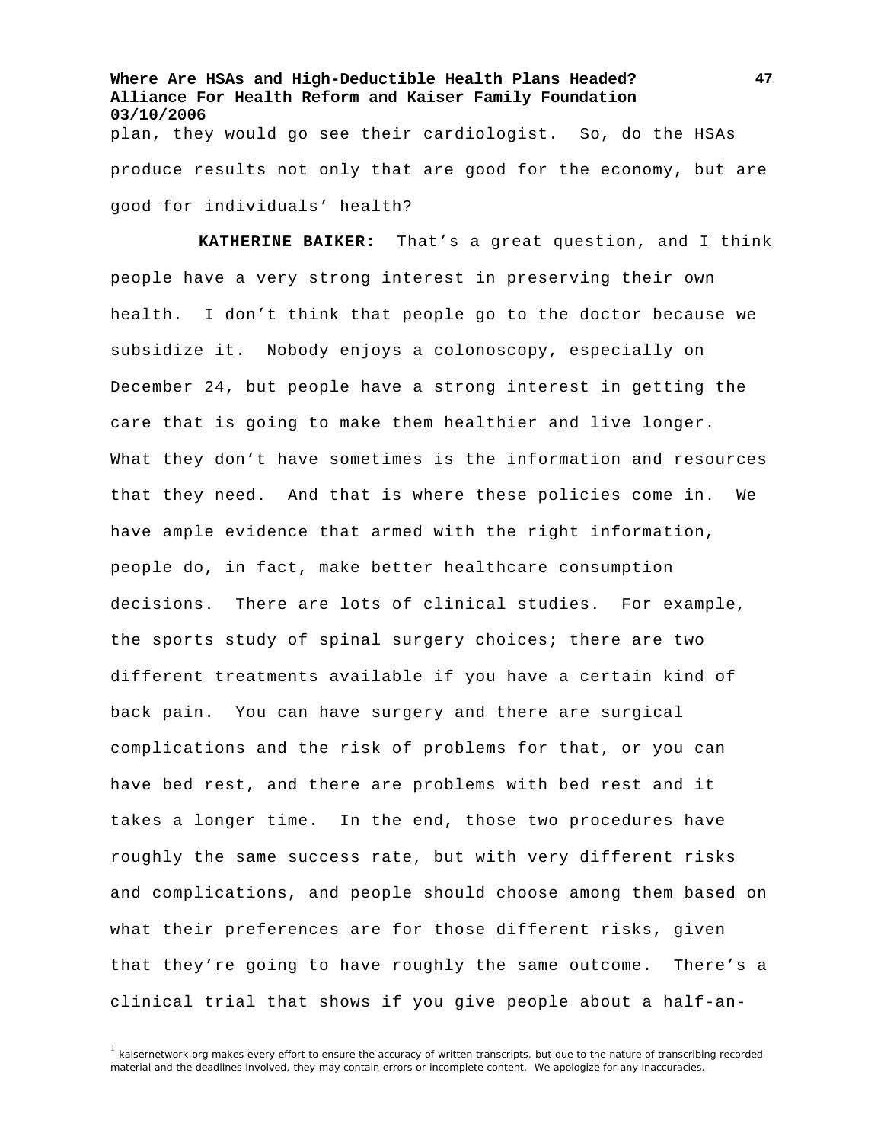**Where Are HSAs and High-Deductible Health Plans Headed? Alliance For Health Reform and Kaiser Family Foundation 03/10/2006**  plan, they would go see their cardiologist. So, do the HSAs produce results not only that are good for the economy, but are good for individuals' health?

**KATHERINE BAIKER:** That's a great question, and I think people have a very strong interest in preserving their own health. I don't think that people go to the doctor because we subsidize it. Nobody enjoys a colonoscopy, especially on December 24, but people have a strong interest in getting the care that is going to make them healthier and live longer. What they don't have sometimes is the information and resources that they need. And that is where these policies come in. We have ample evidence that armed with the right information, people do, in fact, make better healthcare consumption decisions. There are lots of clinical studies. For example, the sports study of spinal surgery choices; there are two different treatments available if you have a certain kind of back pain. You can have surgery and there are surgical complications and the risk of problems for that, or you can have bed rest, and there are problems with bed rest and it takes a longer time. In the end, those two procedures have roughly the same success rate, but with very different risks and complications, and people should choose among them based on what their preferences are for those different risks, given that they're going to have roughly the same outcome. There's a clinical trial that shows if you give people about a half-an-

 $1$  kaisernetwork.org makes every effort to ensure the accuracy of written transcripts, but due to the nature of transcribing recorded material and the deadlines involved, they may contain errors or incomplete content. We apologize for any inaccuracies.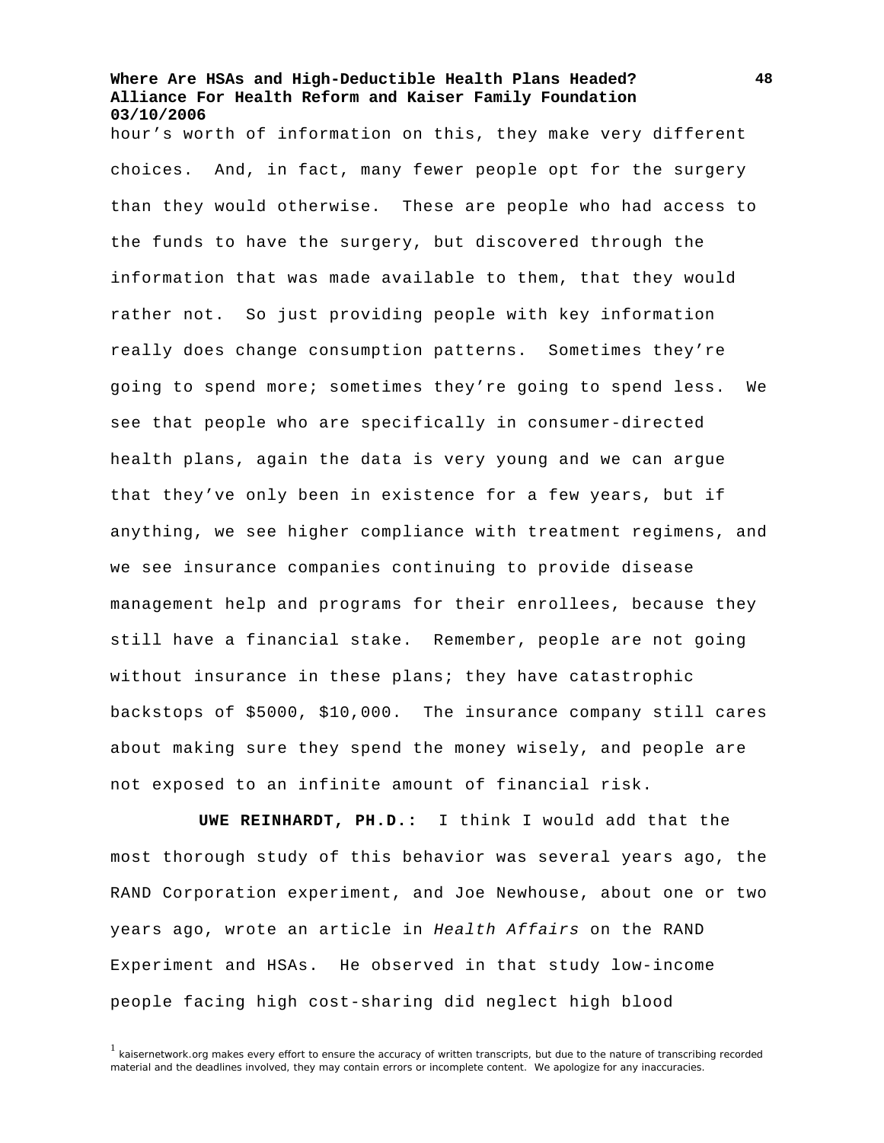hour's worth of information on this, they make very different choices. And, in fact, many fewer people opt for the surgery than they would otherwise. These are people who had access to the funds to have the surgery, but discovered through the information that was made available to them, that they would rather not. So just providing people with key information really does change consumption patterns. Sometimes they're going to spend more; sometimes they're going to spend less. We see that people who are specifically in consumer-directed health plans, again the data is very young and we can argue that they've only been in existence for a few years, but if anything, we see higher compliance with treatment regimens, and we see insurance companies continuing to provide disease management help and programs for their enrollees, because they still have a financial stake. Remember, people are not going without insurance in these plans; they have catastrophic backstops of \$5000, \$10,000. The insurance company still cares about making sure they spend the money wisely, and people are not exposed to an infinite amount of financial risk.

**UWE REINHARDT, PH.D.:** I think I would add that the most thorough study of this behavior was several years ago, the RAND Corporation experiment, and Joe Newhouse, about one or two years ago, wrote an article in *Health Affairs* on the RAND Experiment and HSAs. He observed in that study low-income people facing high cost-sharing did neglect high blood

<sup>1</sup> kaisernetwork.org makes every effort to ensure the accuracy of written transcripts, but due to the nature of transcribing recorded material and the deadlines involved, they may contain errors or incomplete content. We apologize for any inaccuracies.